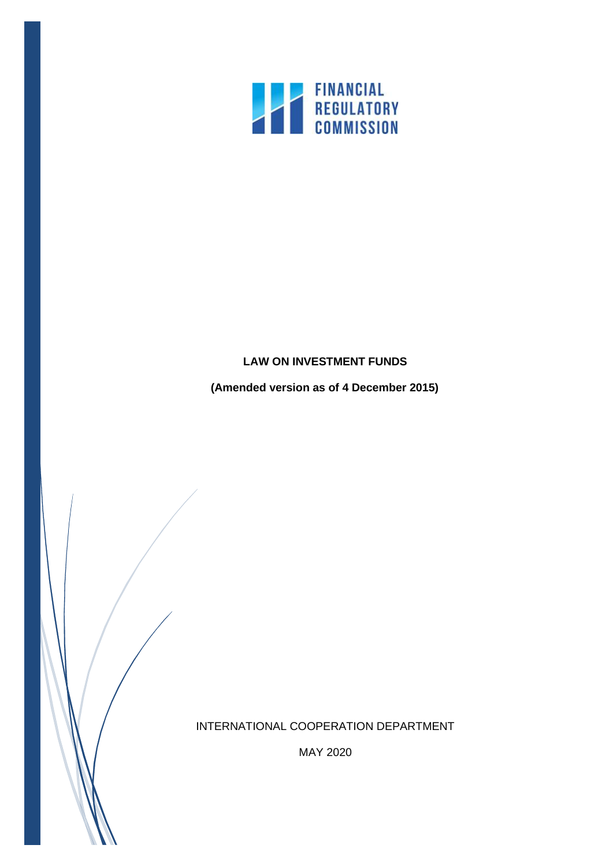

# **LAW ON INVESTMENT FUNDS**

**(Amended version as of 4 December 2015)**

INTERNATIONAL COOPERATION DEPARTMENT

MAY 2020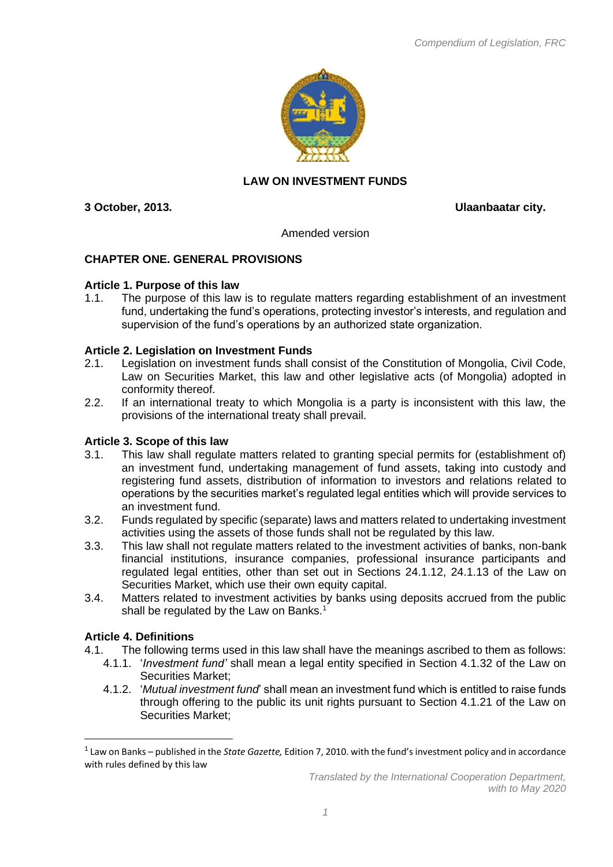

# **LAW ON INVESTMENT FUNDS**

**3 October, 2013. Ulaanbaatar city.**

Amended version

# **CHAPTER ONE. GENERAL PROVISIONS**

## **Article 1. Purpose of this law**

1.1. The purpose of this law is to regulate matters regarding establishment of an investment fund, undertaking the fund's operations, protecting investor's interests, and regulation and supervision of the fund's operations by an authorized state organization.

## **Article 2. Legislation on Investment Funds**

- 2.1. Legislation on investment funds shall consist of the Constitution of Mongolia, Civil Code, Law on Securities Market, this law and other legislative acts (of Mongolia) adopted in conformity thereof.
- 2.2. If an international treaty to which Mongolia is a party is inconsistent with this law, the provisions of the international treaty shall prevail.

# **Article 3. Scope of this law**

- 3.1. This law shall regulate matters related to granting special permits for (establishment of) an investment fund, undertaking management of fund assets, taking into custody and registering fund assets, distribution of information to investors and relations related to operations by the securities market's regulated legal entities which will provide services to an investment fund.
- 3.2. Funds regulated by specific (separate) laws and matters related to undertaking investment activities using the assets of those funds shall not be regulated by this law.
- 3.3. This law shall not regulate matters related to the investment activities of banks, non-bank financial institutions, insurance companies, professional insurance participants and regulated legal entities, other than set out in Sections 24.1.12, 24.1.13 of the Law on Securities Market, which use their own equity capital.
- 3.4. Matters related to investment activities by banks using deposits accrued from the public shall be regulated by the Law on Banks.<sup>1</sup>

## **Article 4. Definitions**

- 4.1. The following terms used in this law shall have the meanings ascribed to them as follows:
	- 4.1.1. '*Investment fund'* shall mean a legal entity specified in Section 4.1.32 of the Law on Securities Market;
		- 4.1.2. '*Mutual investment fund*' shall mean an investment fund which is entitled to raise funds through offering to the public its unit rights pursuant to Section 4.1.21 of the Law on Securities Market;

<sup>1</sup> Law on Banks – published in the *State Gazette,* Edition 7, 2010. with the fund's investment policy and in accordance with rules defined by this law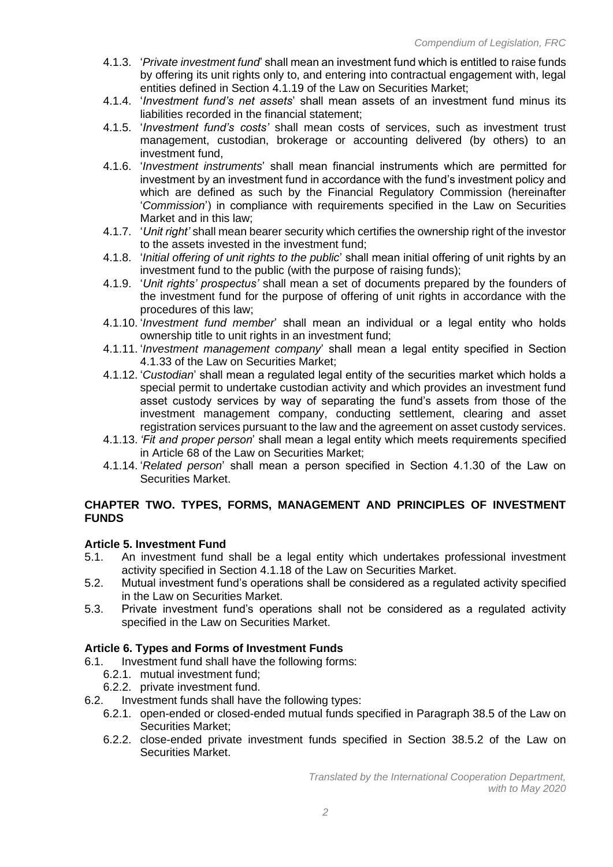- 4.1.3. '*Private investment fund*' shall mean an investment fund which is entitled to raise funds by offering its unit rights only to, and entering into contractual engagement with, legal entities defined in Section 4.1.19 of the Law on Securities Market;
- 4.1.4. '*Investment fund's net assets*' shall mean assets of an investment fund minus its liabilities recorded in the financial statement;
- 4.1.5. '*Investment fund's costs'* shall mean costs of services, such as investment trust management, custodian, brokerage or accounting delivered (by others) to an investment fund,
- 4.1.6. '*Investment instruments*' shall mean financial instruments which are permitted for investment by an investment fund in accordance with the fund's investment policy and which are defined as such by the Financial Regulatory Commission (hereinafter '*Commission*') in compliance with requirements specified in the Law on Securities Market and in this law;
- 4.1.7. '*Unit right'* shall mean bearer security which certifies the ownership right of the investor to the assets invested in the investment fund;
- 4.1.8. '*Initial offering of unit rights to the public*' shall mean initial offering of unit rights by an investment fund to the public (with the purpose of raising funds);
- 4.1.9. '*Unit rights' prospectus'* shall mean a set of documents prepared by the founders of the investment fund for the purpose of offering of unit rights in accordance with the procedures of this law;
- 4.1.10. '*Investment fund member*' shall mean an individual or a legal entity who holds ownership title to unit rights in an investment fund;
- 4.1.11. '*Investment management company*' shall mean a legal entity specified in Section 4.1.33 of the Law on Securities Market;
- 4.1.12. '*Custodian*' shall mean a regulated legal entity of the securities market which holds a special permit to undertake custodian activity and which provides an investment fund asset custody services by way of separating the fund's assets from those of the investment management company, conducting settlement, clearing and asset registration services pursuant to the law and the agreement on asset custody services.
- 4.1.13. *'Fit and proper person*' shall mean a legal entity which meets requirements specified in Article 68 of the Law on Securities Market;
- 4.1.14. '*Related person*' shall mean a person specified in Section 4.1.30 of the Law on Securities Market.

# **CHAPTER TWO. TYPES, FORMS, MANAGEMENT AND PRINCIPLES OF INVESTMENT FUNDS**

## **Article 5. Investment Fund**

- 5.1. An investment fund shall be a legal entity which undertakes professional investment activity specified in Section 4.1.18 of the Law on Securities Market.
- 5.2. Mutual investment fund's operations shall be considered as a regulated activity specified in the Law on Securities Market.
- 5.3. Private investment fund's operations shall not be considered as a regulated activity specified in the Law on Securities Market.

# **Article 6. Types and Forms of Investment Funds**

- 6.1. Investment fund shall have the following forms:
	- 6.2.1. mutual investment fund;
	- 6.2.2. private investment fund.
- 6.2. Investment funds shall have the following types:
	- 6.2.1. open-ended or closed-ended mutual funds specified in Paragraph 38.5 of the Law on Securities Market;
	- 6.2.2. close-ended private investment funds specified in Section 38.5.2 of the Law on Securities Market.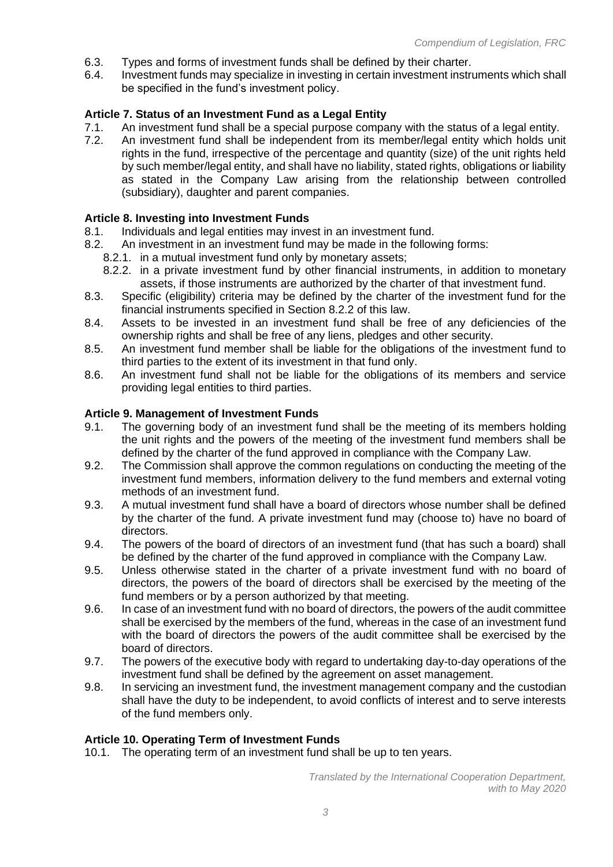- 6.3. Types and forms of investment funds shall be defined by their charter.<br>6.4. Investment funds may specialize in investing in certain investment instru
- Investment funds may specialize in investing in certain investment instruments which shall be specified in the fund's investment policy.

## **Article 7. Status of an Investment Fund as a Legal Entity**

- 7.1. An investment fund shall be a special purpose company with the status of a legal entity.
- 7.2. An investment fund shall be independent from its member/legal entity which holds unit rights in the fund, irrespective of the percentage and quantity (size) of the unit rights held by such member/legal entity, and shall have no liability, stated rights, obligations or liability as stated in the Company Law arising from the relationship between controlled (subsidiary), daughter and parent companies.

#### **Article 8. Investing into Investment Funds**

- 8.1. Individuals and legal entities may invest in an investment fund.
- 8.2. An investment in an investment fund may be made in the following forms:
	- 8.2.1. in a mutual investment fund only by monetary assets;
	- 8.2.2. in a private investment fund by other financial instruments, in addition to monetary assets, if those instruments are authorized by the charter of that investment fund.
- 8.3. Specific (eligibility) criteria may be defined by the charter of the investment fund for the financial instruments specified in Section 8.2.2 of this law.
- 8.4. Assets to be invested in an investment fund shall be free of any deficiencies of the ownership rights and shall be free of any liens, pledges and other security.
- 8.5. An investment fund member shall be liable for the obligations of the investment fund to third parties to the extent of its investment in that fund only.
- 8.6. An investment fund shall not be liable for the obligations of its members and service providing legal entities to third parties.

#### **Article 9. Management of Investment Funds**

- 9.1. The governing body of an investment fund shall be the meeting of its members holding the unit rights and the powers of the meeting of the investment fund members shall be defined by the charter of the fund approved in compliance with the Company Law.
- 9.2. The Commission shall approve the common regulations on conducting the meeting of the investment fund members, information delivery to the fund members and external voting methods of an investment fund.
- 9.3. A mutual investment fund shall have a board of directors whose number shall be defined by the charter of the fund. A private investment fund may (choose to) have no board of directors.
- 9.4. The powers of the board of directors of an investment fund (that has such a board) shall be defined by the charter of the fund approved in compliance with the Company Law.
- 9.5. Unless otherwise stated in the charter of a private investment fund with no board of directors, the powers of the board of directors shall be exercised by the meeting of the fund members or by a person authorized by that meeting.
- 9.6. In case of an investment fund with no board of directors, the powers of the audit committee shall be exercised by the members of the fund, whereas in the case of an investment fund with the board of directors the powers of the audit committee shall be exercised by the board of directors.
- 9.7. The powers of the executive body with regard to undertaking day-to-day operations of the investment fund shall be defined by the agreement on asset management.
- 9.8. In servicing an investment fund, the investment management company and the custodian shall have the duty to be independent, to avoid conflicts of interest and to serve interests of the fund members only.

#### **Article 10. Operating Term of Investment Funds**

10.1. The operating term of an investment fund shall be up to ten years.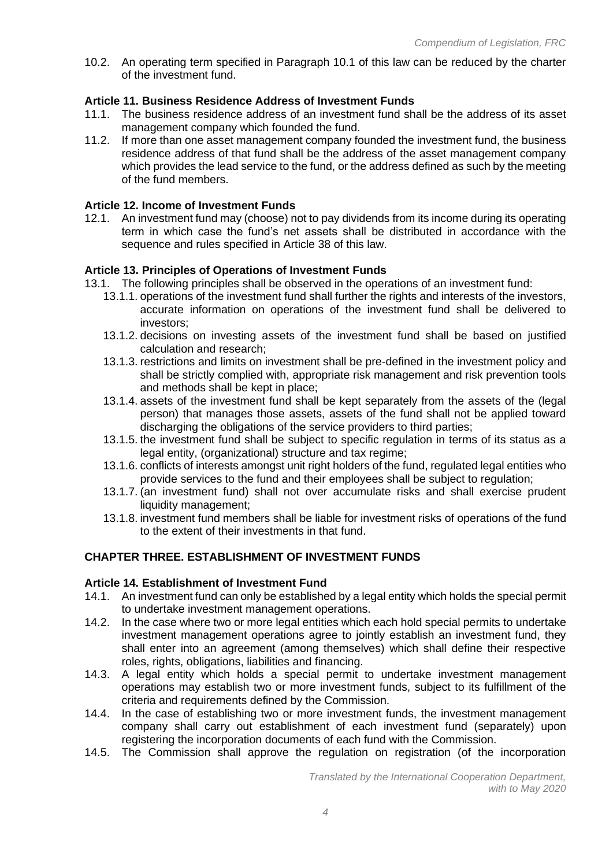10.2. An operating term specified in Paragraph 10.1 of this law can be reduced by the charter of the investment fund.

## **Article 11. Business Residence Address of Investment Funds**

- 11.1. The business residence address of an investment fund shall be the address of its asset management company which founded the fund.
- 11.2. If more than one asset management company founded the investment fund, the business residence address of that fund shall be the address of the asset management company which provides the lead service to the fund, or the address defined as such by the meeting of the fund members.

### **Article 12. Income of Investment Funds**

12.1. An investment fund may (choose) not to pay dividends from its income during its operating term in which case the fund's net assets shall be distributed in accordance with the sequence and rules specified in Article 38 of this law.

## **Article 13. Principles of Operations of Investment Funds**

- 13.1. The following principles shall be observed in the operations of an investment fund:
	- 13.1.1. operations of the investment fund shall further the rights and interests of the investors, accurate information on operations of the investment fund shall be delivered to investors;
	- 13.1.2. decisions on investing assets of the investment fund shall be based on justified calculation and research;
	- 13.1.3. restrictions and limits on investment shall be pre-defined in the investment policy and shall be strictly complied with, appropriate risk management and risk prevention tools and methods shall be kept in place;
	- 13.1.4. assets of the investment fund shall be kept separately from the assets of the (legal person) that manages those assets, assets of the fund shall not be applied toward discharging the obligations of the service providers to third parties;
	- 13.1.5. the investment fund shall be subject to specific regulation in terms of its status as a legal entity, (organizational) structure and tax regime;
	- 13.1.6. conflicts of interests amongst unit right holders of the fund, regulated legal entities who provide services to the fund and their employees shall be subject to regulation;
	- 13.1.7. (an investment fund) shall not over accumulate risks and shall exercise prudent liquidity management;
	- 13.1.8. investment fund members shall be liable for investment risks of operations of the fund to the extent of their investments in that fund.

## **CHAPTER THREE. ESTABLISHMENT OF INVESTMENT FUNDS**

### **Article 14. Establishment of Investment Fund**

- 14.1. An investment fund can only be established by a legal entity which holds the special permit to undertake investment management operations.
- 14.2. In the case where two or more legal entities which each hold special permits to undertake investment management operations agree to jointly establish an investment fund, they shall enter into an agreement (among themselves) which shall define their respective roles, rights, obligations, liabilities and financing.
- 14.3. A legal entity which holds a special permit to undertake investment management operations may establish two or more investment funds, subject to its fulfillment of the criteria and requirements defined by the Commission.
- 14.4. In the case of establishing two or more investment funds, the investment management company shall carry out establishment of each investment fund (separately) upon registering the incorporation documents of each fund with the Commission.
- 14.5. The Commission shall approve the regulation on registration (of the incorporation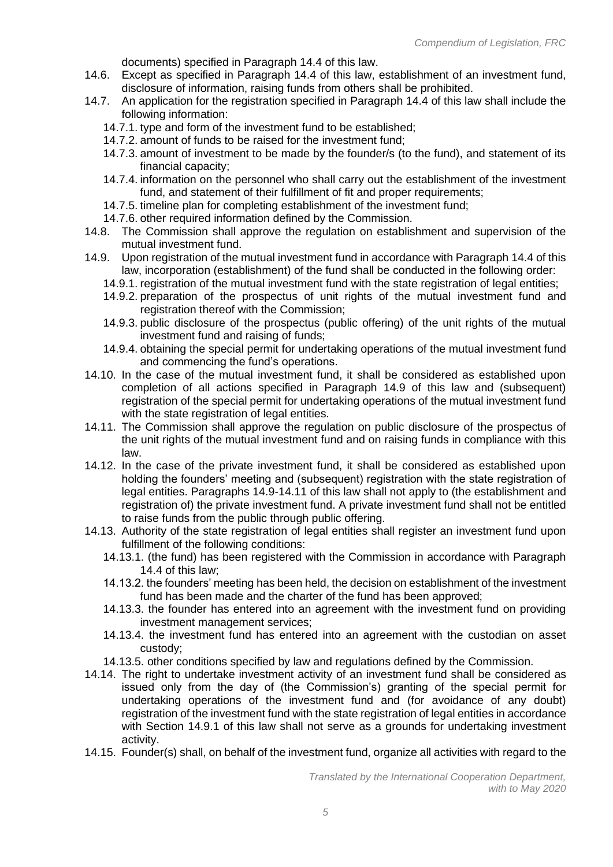documents) specified in Paragraph 14.4 of this law.

- 14.6. Except as specified in Paragraph 14.4 of this law, establishment of an investment fund, disclosure of information, raising funds from others shall be prohibited.
- 14.7. An application for the registration specified in Paragraph 14.4 of this law shall include the following information:
	- 14.7.1. type and form of the investment fund to be established;
	- 14.7.2. amount of funds to be raised for the investment fund;
	- 14.7.3. amount of investment to be made by the founder/s (to the fund), and statement of its financial capacity;
	- 14.7.4. information on the personnel who shall carry out the establishment of the investment fund, and statement of their fulfillment of fit and proper requirements;
	- 14.7.5. timeline plan for completing establishment of the investment fund;
	- 14.7.6. other required information defined by the Commission.
- 14.8. The Commission shall approve the regulation on establishment and supervision of the mutual investment fund.
- 14.9. Upon registration of the mutual investment fund in accordance with Paragraph 14.4 of this law, incorporation (establishment) of the fund shall be conducted in the following order:
	- 14.9.1. registration of the mutual investment fund with the state registration of legal entities;
	- 14.9.2. preparation of the prospectus of unit rights of the mutual investment fund and registration thereof with the Commission;
	- 14.9.3. public disclosure of the prospectus (public offering) of the unit rights of the mutual investment fund and raising of funds;
	- 14.9.4. obtaining the special permit for undertaking operations of the mutual investment fund and commencing the fund's operations.
- 14.10. In the case of the mutual investment fund, it shall be considered as established upon completion of all actions specified in Paragraph 14.9 of this law and (subsequent) registration of the special permit for undertaking operations of the mutual investment fund with the state registration of legal entities.
- 14.11. The Commission shall approve the regulation on public disclosure of the prospectus of the unit rights of the mutual investment fund and on raising funds in compliance with this law.
- 14.12. In the case of the private investment fund, it shall be considered as established upon holding the founders' meeting and (subsequent) registration with the state registration of legal entities. Paragraphs 14.9-14.11 of this law shall not apply to (the establishment and registration of) the private investment fund. A private investment fund shall not be entitled to raise funds from the public through public offering.
- 14.13. Authority of the state registration of legal entities shall register an investment fund upon fulfillment of the following conditions:
	- 14.13.1. (the fund) has been registered with the Commission in accordance with Paragraph 14.4 of this law;
	- 14.13.2. the founders' meeting has been held, the decision on establishment of the investment fund has been made and the charter of the fund has been approved;
	- 14.13.3. the founder has entered into an agreement with the investment fund on providing investment management services;
	- 14.13.4. the investment fund has entered into an agreement with the custodian on asset custody;
	- 14.13.5. other conditions specified by law and regulations defined by the Commission.
- 14.14. The right to undertake investment activity of an investment fund shall be considered as issued only from the day of (the Commission's) granting of the special permit for undertaking operations of the investment fund and (for avoidance of any doubt) registration of the investment fund with the state registration of legal entities in accordance with Section 14.9.1 of this law shall not serve as a grounds for undertaking investment activity.
- 14.15. Founder(s) shall, on behalf of the investment fund, organize all activities with regard to the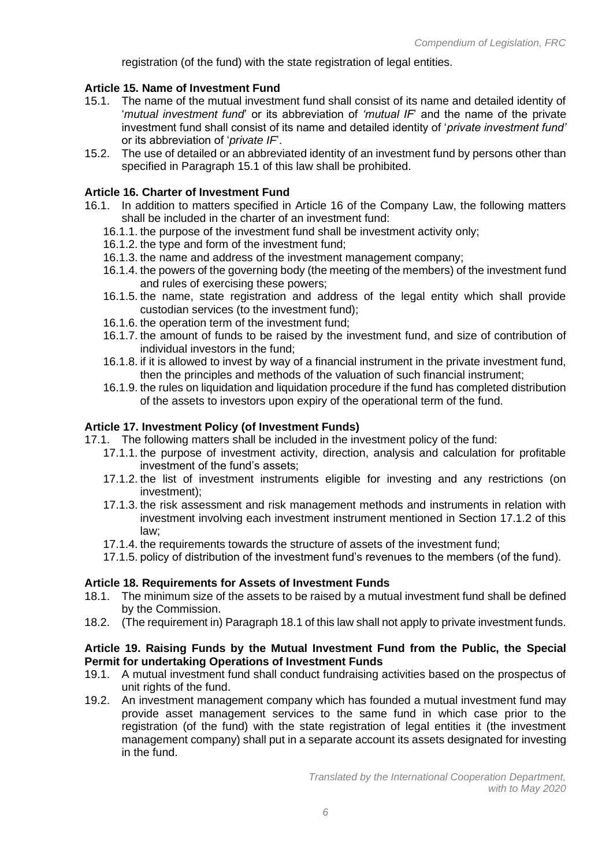registration (of the fund) with the state registration of legal entities.

## **Article 15. Name of Investment Fund**

- 15.1. The name of the mutual investment fund shall consist of its name and detailed identity of '*mutual investment fund*' or its abbreviation of *'mutual IF*' and the name of the private investment fund shall consist of its name and detailed identity of '*private investment fund'* or its abbreviation of '*private IF*'.
- 15.2. The use of detailed or an abbreviated identity of an investment fund by persons other than specified in Paragraph 15.1 of this law shall be prohibited.

#### **Article 16. Charter of Investment Fund**

- 16.1. In addition to matters specified in Article 16 of the Company Law, the following matters shall be included in the charter of an investment fund:
	- 16.1.1. the purpose of the investment fund shall be investment activity only;
	- 16.1.2. the type and form of the investment fund;
	- 16.1.3. the name and address of the investment management company;
	- 16.1.4. the powers of the governing body (the meeting of the members) of the investment fund and rules of exercising these powers;
	- 16.1.5. the name, state registration and address of the legal entity which shall provide custodian services (to the investment fund);
	- 16.1.6. the operation term of the investment fund;
	- 16.1.7. the amount of funds to be raised by the investment fund, and size of contribution of individual investors in the fund;
	- 16.1.8. if it is allowed to invest by way of a financial instrument in the private investment fund, then the principles and methods of the valuation of such financial instrument;
	- 16.1.9. the rules on liquidation and liquidation procedure if the fund has completed distribution of the assets to investors upon expiry of the operational term of the fund.

#### **Article 17. Investment Policy (of Investment Funds)**

- 17.1. The following matters shall be included in the investment policy of the fund:
	- 17.1.1. the purpose of investment activity, direction, analysis and calculation for profitable investment of the fund's assets;
	- 17.1.2. the list of investment instruments eligible for investing and any restrictions (on investment);
	- 17.1.3. the risk assessment and risk management methods and instruments in relation with investment involving each investment instrument mentioned in Section 17.1.2 of this law;
	- 17.1.4. the requirements towards the structure of assets of the investment fund;
	- 17.1.5. policy of distribution of the investment fund's revenues to the members (of the fund).

#### **Article 18. Requirements for Assets of Investment Funds**

- 18.1. The minimum size of the assets to be raised by a mutual investment fund shall be defined by the Commission.
- 18.2. (The requirement in) Paragraph 18.1 of this law shall not apply to private investment funds.

#### **Article 19. Raising Funds by the Mutual Investment Fund from the Public, the Special Permit for undertaking Operations of Investment Funds**

- 19.1. A mutual investment fund shall conduct fundraising activities based on the prospectus of unit rights of the fund.
- 19.2. An investment management company which has founded a mutual investment fund may provide asset management services to the same fund in which case prior to the registration (of the fund) with the state registration of legal entities it (the investment management company) shall put in a separate account its assets designated for investing in the fund.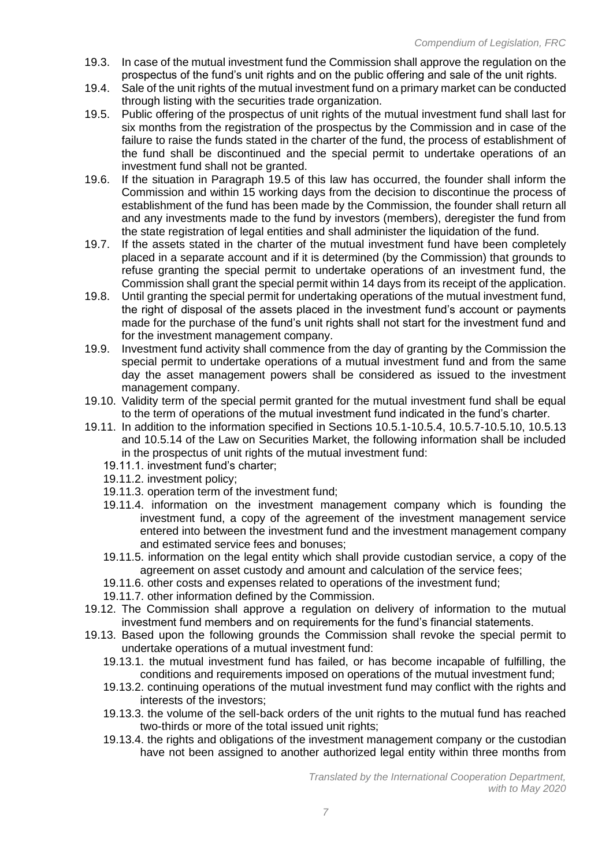- 19.3. In case of the mutual investment fund the Commission shall approve the regulation on the prospectus of the fund's unit rights and on the public offering and sale of the unit rights.
- 19.4. Sale of the unit rights of the mutual investment fund on a primary market can be conducted through listing with the securities trade organization.
- 19.5. Public offering of the prospectus of unit rights of the mutual investment fund shall last for six months from the registration of the prospectus by the Commission and in case of the failure to raise the funds stated in the charter of the fund, the process of establishment of the fund shall be discontinued and the special permit to undertake operations of an investment fund shall not be granted.
- 19.6. If the situation in Paragraph 19.5 of this law has occurred, the founder shall inform the Commission and within 15 working days from the decision to discontinue the process of establishment of the fund has been made by the Commission, the founder shall return all and any investments made to the fund by investors (members), deregister the fund from the state registration of legal entities and shall administer the liquidation of the fund.
- 19.7. If the assets stated in the charter of the mutual investment fund have been completely placed in a separate account and if it is determined (by the Commission) that grounds to refuse granting the special permit to undertake operations of an investment fund, the Commission shall grant the special permit within 14 days from its receipt of the application.
- 19.8. Until granting the special permit for undertaking operations of the mutual investment fund, the right of disposal of the assets placed in the investment fund's account or payments made for the purchase of the fund's unit rights shall not start for the investment fund and for the investment management company.
- 19.9. Investment fund activity shall commence from the day of granting by the Commission the special permit to undertake operations of a mutual investment fund and from the same day the asset management powers shall be considered as issued to the investment management company.
- 19.10. Validity term of the special permit granted for the mutual investment fund shall be equal to the term of operations of the mutual investment fund indicated in the fund's charter.
- 19.11. In addition to the information specified in Sections 10.5.1-10.5.4, 10.5.7-10.5.10, 10.5.13 and 10.5.14 of the Law on Securities Market, the following information shall be included in the prospectus of unit rights of the mutual investment fund:
	- 19.11.1. investment fund's charter;
	- 19.11.2. investment policy;
	- 19.11.3. operation term of the investment fund;
	- 19.11.4. information on the investment management company which is founding the investment fund, a copy of the agreement of the investment management service entered into between the investment fund and the investment management company and estimated service fees and bonuses;
	- 19.11.5. information on the legal entity which shall provide custodian service, a copy of the agreement on asset custody and amount and calculation of the service fees;
	- 19.11.6. other costs and expenses related to operations of the investment fund;
	- 19.11.7. other information defined by the Commission.
- 19.12. The Commission shall approve a regulation on delivery of information to the mutual investment fund members and on requirements for the fund's financial statements.
- 19.13. Based upon the following grounds the Commission shall revoke the special permit to undertake operations of a mutual investment fund:
	- 19.13.1. the mutual investment fund has failed, or has become incapable of fulfilling, the conditions and requirements imposed on operations of the mutual investment fund;
	- 19.13.2. continuing operations of the mutual investment fund may conflict with the rights and interests of the investors;
	- 19.13.3. the volume of the sell-back orders of the unit rights to the mutual fund has reached two-thirds or more of the total issued unit rights;
	- 19.13.4. the rights and obligations of the investment management company or the custodian have not been assigned to another authorized legal entity within three months from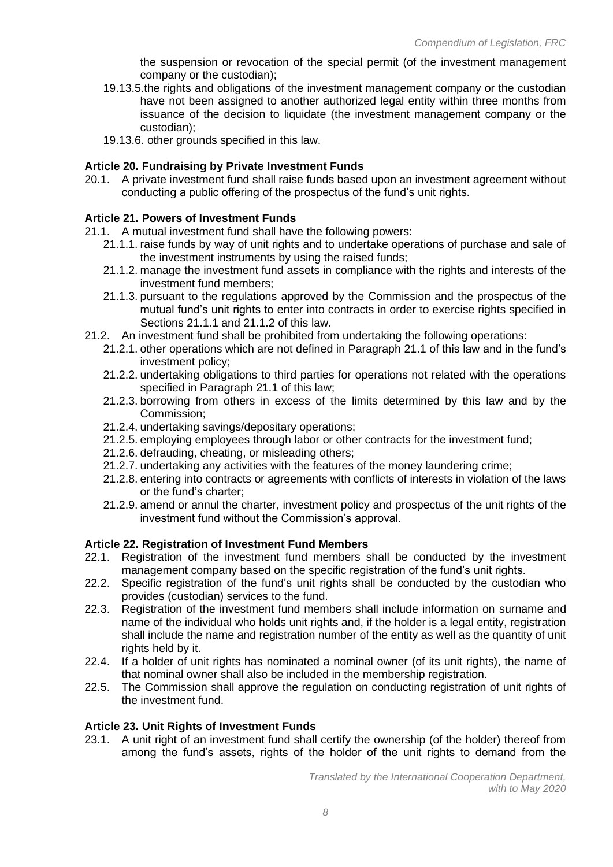the suspension or revocation of the special permit (of the investment management company or the custodian);

- 19.13.5.the rights and obligations of the investment management company or the custodian have not been assigned to another authorized legal entity within three months from issuance of the decision to liquidate (the investment management company or the custodian);
- 19.13.6. other grounds specified in this law.

## **Article 20. Fundraising by Private Investment Funds**

20.1. A private investment fund shall raise funds based upon an investment agreement without conducting a public offering of the prospectus of the fund's unit rights.

## **Article 21. Powers of Investment Funds**

- 21.1. A mutual investment fund shall have the following powers:
	- 21.1.1. raise funds by way of unit rights and to undertake operations of purchase and sale of the investment instruments by using the raised funds;
	- 21.1.2. manage the investment fund assets in compliance with the rights and interests of the investment fund members;
	- 21.1.3. pursuant to the regulations approved by the Commission and the prospectus of the mutual fund's unit rights to enter into contracts in order to exercise rights specified in Sections 21.1.1 and 21.1.2 of this law.
- 21.2. An investment fund shall be prohibited from undertaking the following operations:
	- 21.2.1. other operations which are not defined in Paragraph 21.1 of this law and in the fund's investment policy;
	- 21.2.2. undertaking obligations to third parties for operations not related with the operations specified in Paragraph 21.1 of this law;
	- 21.2.3. borrowing from others in excess of the limits determined by this law and by the Commission;
	- 21.2.4. undertaking savings/depositary operations;
	- 21.2.5. employing employees through labor or other contracts for the investment fund;
	- 21.2.6. defrauding, cheating, or misleading others;
	- 21.2.7. undertaking any activities with the features of the money laundering crime;
	- 21.2.8. entering into contracts or agreements with conflicts of interests in violation of the laws or the fund's charter;
	- 21.2.9. amend or annul the charter, investment policy and prospectus of the unit rights of the investment fund without the Commission's approval.

## **Article 22. Registration of Investment Fund Members**

- 22.1. Registration of the investment fund members shall be conducted by the investment management company based on the specific registration of the fund's unit rights.
- 22.2. Specific registration of the fund's unit rights shall be conducted by the custodian who provides (custodian) services to the fund.
- 22.3. Registration of the investment fund members shall include information on surname and name of the individual who holds unit rights and, if the holder is a legal entity, registration shall include the name and registration number of the entity as well as the quantity of unit rights held by it.
- 22.4. If a holder of unit rights has nominated a nominal owner (of its unit rights), the name of that nominal owner shall also be included in the membership registration.
- 22.5. The Commission shall approve the regulation on conducting registration of unit rights of the investment fund.

#### **Article 23. Unit Rights of Investment Funds**

23.1. A unit right of an investment fund shall certify the ownership (of the holder) thereof from among the fund's assets, rights of the holder of the unit rights to demand from the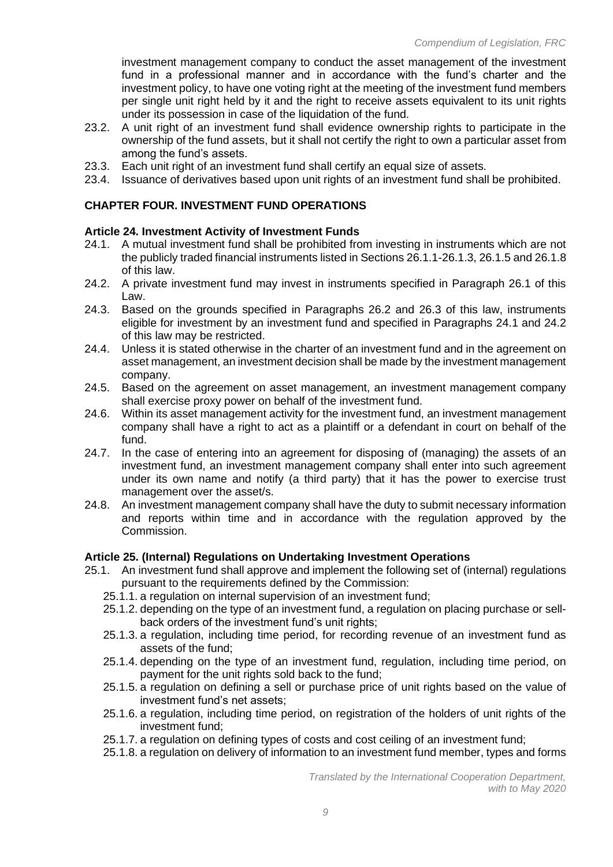investment management company to conduct the asset management of the investment fund in a professional manner and in accordance with the fund's charter and the investment policy, to have one voting right at the meeting of the investment fund members per single unit right held by it and the right to receive assets equivalent to its unit rights under its possession in case of the liquidation of the fund.

- 23.2. A unit right of an investment fund shall evidence ownership rights to participate in the ownership of the fund assets, but it shall not certify the right to own a particular asset from among the fund's assets.
- 23.3. Each unit right of an investment fund shall certify an equal size of assets.
- 23.4. Issuance of derivatives based upon unit rights of an investment fund shall be prohibited.

#### **CHAPTER FOUR. INVESTMENT FUND OPERATIONS**

#### **Article 24. Investment Activity of Investment Funds**

- 24.1. A mutual investment fund shall be prohibited from investing in instruments which are not the publicly traded financial instruments listed in Sections 26.1.1-26.1.3, 26.1.5 and 26.1.8 of this law.
- 24.2. A private investment fund may invest in instruments specified in Paragraph 26.1 of this Law.
- 24.3. Based on the grounds specified in Paragraphs 26.2 and 26.3 of this law, instruments eligible for investment by an investment fund and specified in Paragraphs 24.1 and 24.2 of this law may be restricted.
- 24.4. Unless it is stated otherwise in the charter of an investment fund and in the agreement on asset management, an investment decision shall be made by the investment management company.
- 24.5. Based on the agreement on asset management, an investment management company shall exercise proxy power on behalf of the investment fund.
- 24.6. Within its asset management activity for the investment fund, an investment management company shall have a right to act as a plaintiff or a defendant in court on behalf of the fund.
- 24.7. In the case of entering into an agreement for disposing of (managing) the assets of an investment fund, an investment management company shall enter into such agreement under its own name and notify (a third party) that it has the power to exercise trust management over the asset/s.
- 24.8. An investment management company shall have the duty to submit necessary information and reports within time and in accordance with the regulation approved by the Commission.

#### **Article 25. (Internal) Regulations on Undertaking Investment Operations**

- 25.1. An investment fund shall approve and implement the following set of (internal) regulations pursuant to the requirements defined by the Commission:
	- 25.1.1. a regulation on internal supervision of an investment fund;
	- 25.1.2. depending on the type of an investment fund, a regulation on placing purchase or sellback orders of the investment fund's unit rights;
	- 25.1.3. a regulation, including time period, for recording revenue of an investment fund as assets of the fund;
	- 25.1.4. depending on the type of an investment fund, regulation, including time period, on payment for the unit rights sold back to the fund;
	- 25.1.5. a regulation on defining a sell or purchase price of unit rights based on the value of investment fund's net assets;
	- 25.1.6. a regulation, including time period, on registration of the holders of unit rights of the investment fund;
	- 25.1.7. a regulation on defining types of costs and cost ceiling of an investment fund;
	- 25.1.8. a regulation on delivery of information to an investment fund member, types and forms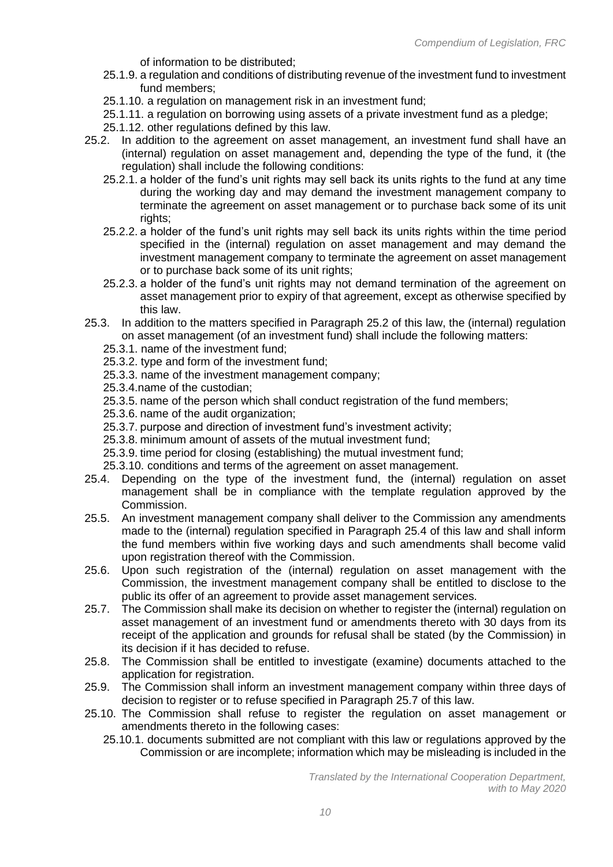of information to be distributed;

- 25.1.9. a regulation and conditions of distributing revenue of the investment fund to investment fund members;
- 25.1.10. a regulation on management risk in an investment fund;
- 25.1.11. a regulation on borrowing using assets of a private investment fund as a pledge;
- 25.1.12. other regulations defined by this law.
- 25.2. In addition to the agreement on asset management, an investment fund shall have an (internal) regulation on asset management and, depending the type of the fund, it (the regulation) shall include the following conditions:
	- 25.2.1. a holder of the fund's unit rights may sell back its units rights to the fund at any time during the working day and may demand the investment management company to terminate the agreement on asset management or to purchase back some of its unit rights;
	- 25.2.2. a holder of the fund's unit rights may sell back its units rights within the time period specified in the (internal) regulation on asset management and may demand the investment management company to terminate the agreement on asset management or to purchase back some of its unit rights;
	- 25.2.3. a holder of the fund's unit rights may not demand termination of the agreement on asset management prior to expiry of that agreement, except as otherwise specified by this law.
- 25.3. In addition to the matters specified in Paragraph 25.2 of this law, the (internal) regulation on asset management (of an investment fund) shall include the following matters:
	- 25.3.1. name of the investment fund;
	- 25.3.2. type and form of the investment fund;
	- 25.3.3. name of the investment management company;
	- 25.3.4.name of the custodian;
	- 25.3.5. name of the person which shall conduct registration of the fund members;
	- 25.3.6. name of the audit organization;
	- 25.3.7. purpose and direction of investment fund's investment activity;
	- 25.3.8. minimum amount of assets of the mutual investment fund;
	- 25.3.9. time period for closing (establishing) the mutual investment fund;
	- 25.3.10. conditions and terms of the agreement on asset management.
- 25.4. Depending on the type of the investment fund, the (internal) regulation on asset management shall be in compliance with the template regulation approved by the Commission.
- 25.5. An investment management company shall deliver to the Commission any amendments made to the (internal) regulation specified in Paragraph 25.4 of this law and shall inform the fund members within five working days and such amendments shall become valid upon registration thereof with the Commission.
- 25.6. Upon such registration of the (internal) regulation on asset management with the Commission, the investment management company shall be entitled to disclose to the public its offer of an agreement to provide asset management services.
- 25.7. The Commission shall make its decision on whether to register the (internal) regulation on asset management of an investment fund or amendments thereto with 30 days from its receipt of the application and grounds for refusal shall be stated (by the Commission) in its decision if it has decided to refuse.
- 25.8. The Commission shall be entitled to investigate (examine) documents attached to the application for registration.
- 25.9. The Commission shall inform an investment management company within three days of decision to register or to refuse specified in Paragraph 25.7 of this law.
- 25.10. The Commission shall refuse to register the regulation on asset management or amendments thereto in the following cases:
	- 25.10.1. documents submitted are not compliant with this law or regulations approved by the Commission or are incomplete; information which may be misleading is included in the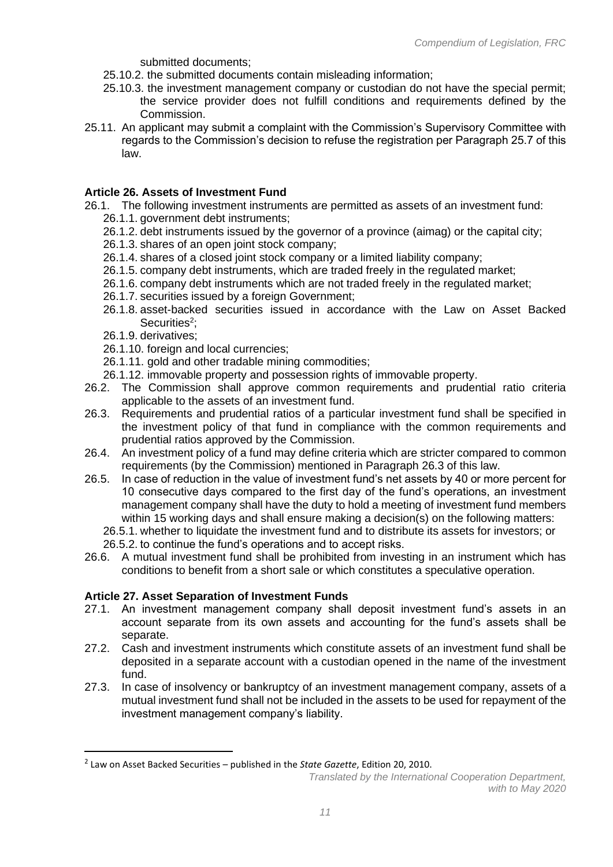submitted documents;

- 25.10.2. the submitted documents contain misleading information;
- 25.10.3. the investment management company or custodian do not have the special permit; the service provider does not fulfill conditions and requirements defined by the Commission.
- 25.11. An applicant may submit a complaint with the Commission's Supervisory Committee with regards to the Commission's decision to refuse the registration per Paragraph 25.7 of this law.

## **Article 26. Assets of Investment Fund**

- 26.1. The following investment instruments are permitted as assets of an investment fund: 26.1.1. government debt instruments;
	- 26.1.2. debt instruments issued by the governor of a province (aimag) or the capital city;
	- 26.1.3. shares of an open joint stock company;
	- 26.1.4. shares of a closed joint stock company or a limited liability company;
	- 26.1.5. company debt instruments, which are traded freely in the regulated market;
	- 26.1.6. company debt instruments which are not traded freely in the regulated market;
	- 26.1.7. securities issued by a foreign Government;
	- 26.1.8. asset-backed securities issued in accordance with the Law on Asset Backed Securities<sup>2</sup>;
	- 26.1.9. derivatives;
	- 26.1.10. foreign and local currencies;
	- 26.1.11. gold and other tradable mining commodities;
	- 26.1.12. immovable property and possession rights of immovable property.
- 26.2. The Commission shall approve common requirements and prudential ratio criteria applicable to the assets of an investment fund.
- 26.3. Requirements and prudential ratios of a particular investment fund shall be specified in the investment policy of that fund in compliance with the common requirements and prudential ratios approved by the Commission.
- 26.4. An investment policy of a fund may define criteria which are stricter compared to common requirements (by the Commission) mentioned in Paragraph 26.3 of this law.
- 26.5. In case of reduction in the value of investment fund's net assets by 40 or more percent for 10 consecutive days compared to the first day of the fund's operations, an investment management company shall have the duty to hold a meeting of investment fund members within 15 working days and shall ensure making a decision(s) on the following matters:
	- 26.5.1. whether to liquidate the investment fund and to distribute its assets for investors; or 26.5.2. to continue the fund's operations and to accept risks.
- 26.6. A mutual investment fund shall be prohibited from investing in an instrument which has conditions to benefit from a short sale or which constitutes a speculative operation.

#### **Article 27. Asset Separation of Investment Funds**

- 27.1. An investment management company shall deposit investment fund's assets in an account separate from its own assets and accounting for the fund's assets shall be separate.
- 27.2. Cash and investment instruments which constitute assets of an investment fund shall be deposited in a separate account with a custodian opened in the name of the investment fund.
- 27.3. In case of insolvency or bankruptcy of an investment management company, assets of a mutual investment fund shall not be included in the assets to be used for repayment of the investment management company's liability.

<sup>2</sup> Law on Asset Backed Securities – published in the *State Gazette*, Edition 20, 2010.

*Translated by the International Cooperation Department, with to May 2020*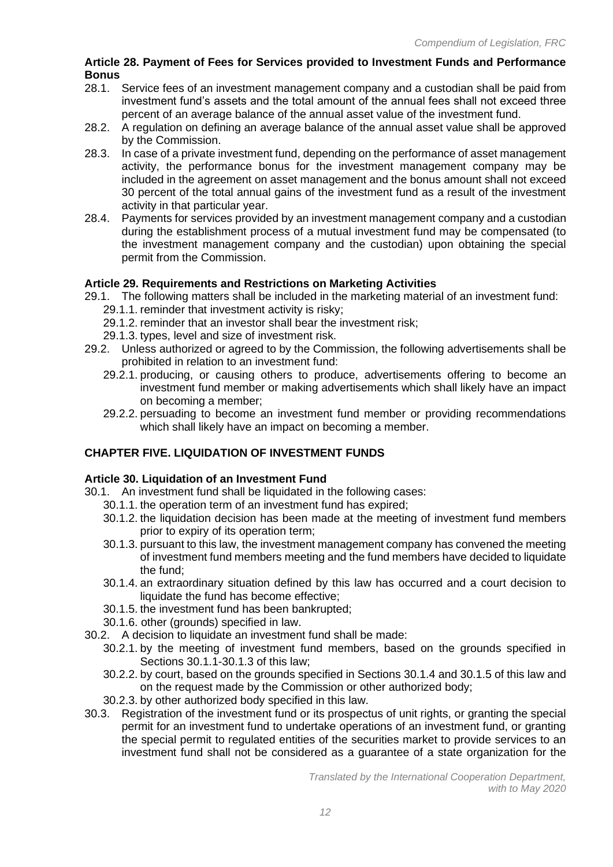## **Article 28. Payment of Fees for Services provided to Investment Funds and Performance Bonus**

- 28.1. Service fees of an investment management company and a custodian shall be paid from investment fund's assets and the total amount of the annual fees shall not exceed three percent of an average balance of the annual asset value of the investment fund.
- 28.2. A regulation on defining an average balance of the annual asset value shall be approved by the Commission.
- 28.3. In case of a private investment fund, depending on the performance of asset management activity, the performance bonus for the investment management company may be included in the agreement on asset management and the bonus amount shall not exceed 30 percent of the total annual gains of the investment fund as a result of the investment activity in that particular year.
- 28.4. Payments for services provided by an investment management company and a custodian during the establishment process of a mutual investment fund may be compensated (to the investment management company and the custodian) upon obtaining the special permit from the Commission.

# **Article 29. Requirements and Restrictions on Marketing Activities**

- 29.1. The following matters shall be included in the marketing material of an investment fund: 29.1.1. reminder that investment activity is risky;
	- 29.1.2. reminder that an investor shall bear the investment risk;
	- 29.1.3. types, level and size of investment risk.
- 29.2. Unless authorized or agreed to by the Commission, the following advertisements shall be prohibited in relation to an investment fund:
	- 29.2.1. producing, or causing others to produce, advertisements offering to become an investment fund member or making advertisements which shall likely have an impact on becoming a member;
	- 29.2.2. persuading to become an investment fund member or providing recommendations which shall likely have an impact on becoming a member.

# **CHAPTER FIVE. LIQUIDATION OF INVESTMENT FUNDS**

## **Article 30. Liquidation of an Investment Fund**

- 30.1. An investment fund shall be liquidated in the following cases:
	- 30.1.1. the operation term of an investment fund has expired;
	- 30.1.2. the liquidation decision has been made at the meeting of investment fund members prior to expiry of its operation term;
	- 30.1.3. pursuant to this law, the investment management company has convened the meeting of investment fund members meeting and the fund members have decided to liquidate the fund;
	- 30.1.4. an extraordinary situation defined by this law has occurred and a court decision to liquidate the fund has become effective;
	- 30.1.5. the investment fund has been bankrupted;
	- 30.1.6. other (grounds) specified in law.
- 30.2. A decision to liquidate an investment fund shall be made:
	- 30.2.1. by the meeting of investment fund members, based on the grounds specified in Sections 30.1.1-30.1.3 of this law;
	- 30.2.2. by court, based on the grounds specified in Sections 30.1.4 and 30.1.5 of this law and on the request made by the Commission or other authorized body;
	- 30.2.3. by other authorized body specified in this law.
- 30.3. Registration of the investment fund or its prospectus of unit rights, or granting the special permit for an investment fund to undertake operations of an investment fund, or granting the special permit to regulated entities of the securities market to provide services to an investment fund shall not be considered as a guarantee of a state organization for the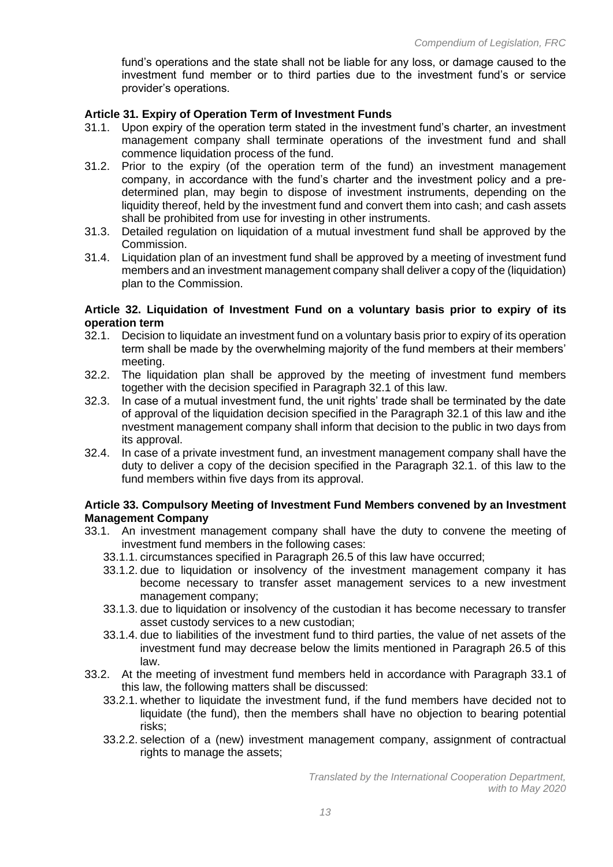fund's operations and the state shall not be liable for any loss, or damage caused to the investment fund member or to third parties due to the investment fund's or service provider's operations.

## **Article 31. Expiry of Operation Term of Investment Funds**

- 31.1. Upon expiry of the operation term stated in the investment fund's charter, an investment management company shall terminate operations of the investment fund and shall commence liquidation process of the fund.
- 31.2. Prior to the expiry (of the operation term of the fund) an investment management company, in accordance with the fund's charter and the investment policy and a predetermined plan, may begin to dispose of investment instruments, depending on the liquidity thereof, held by the investment fund and convert them into cash; and cash assets shall be prohibited from use for investing in other instruments.
- 31.3. Detailed regulation on liquidation of a mutual investment fund shall be approved by the Commission.
- 31.4. Liquidation plan of an investment fund shall be approved by a meeting of investment fund members and an investment management company shall deliver a copy of the (liquidation) plan to the Commission.

#### **Article 32. Liquidation of Investment Fund on a voluntary basis prior to expiry of its operation term**

- 32.1. Decision to liquidate an investment fund on a voluntary basis prior to expiry of its operation term shall be made by the overwhelming majority of the fund members at their members' meeting.
- 32.2. The liquidation plan shall be approved by the meeting of investment fund members together with the decision specified in Paragraph 32.1 of this law.
- 32.3. In case of a mutual investment fund, the unit rights' trade shall be terminated by the date of approval of the liquidation decision specified in the Paragraph 32.1 of this law and ithe nvestment management company shall inform that decision to the public in two days from its approval.
- 32.4. In case of a private investment fund, an investment management company shall have the duty to deliver a copy of the decision specified in the Paragraph 32.1. of this law to the fund members within five days from its approval.

#### **Article 33. Compulsory Meeting of Investment Fund Members convened by an Investment Management Company**

- 33.1. An investment management company shall have the duty to convene the meeting of investment fund members in the following cases:
	- 33.1.1. circumstances specified in Paragraph 26.5 of this law have occurred;
	- 33.1.2. due to liquidation or insolvency of the investment management company it has become necessary to transfer asset management services to a new investment management company;
	- 33.1.3. due to liquidation or insolvency of the custodian it has become necessary to transfer asset custody services to a new custodian;
	- 33.1.4. due to liabilities of the investment fund to third parties, the value of net assets of the investment fund may decrease below the limits mentioned in Paragraph 26.5 of this law.
- 33.2. At the meeting of investment fund members held in accordance with Paragraph 33.1 of this law, the following matters shall be discussed:
	- 33.2.1. whether to liquidate the investment fund, if the fund members have decided not to liquidate (the fund), then the members shall have no objection to bearing potential risks;
	- 33.2.2. selection of a (new) investment management company, assignment of contractual rights to manage the assets;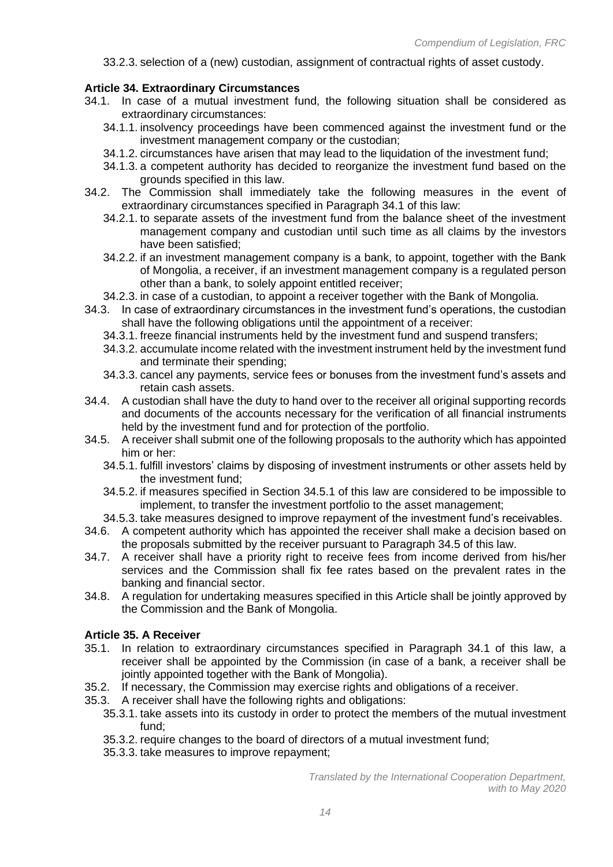33.2.3. selection of a (new) custodian, assignment of contractual rights of asset custody.

## **Article 34. Extraordinary Circumstances**

- 34.1. In case of a mutual investment fund, the following situation shall be considered as extraordinary circumstances:
	- 34.1.1. insolvency proceedings have been commenced against the investment fund or the investment management company or the custodian;
	- 34.1.2. circumstances have arisen that may lead to the liquidation of the investment fund;
	- 34.1.3. a competent authority has decided to reorganize the investment fund based on the grounds specified in this law.
- 34.2. The Commission shall immediately take the following measures in the event of extraordinary circumstances specified in Paragraph 34.1 of this law:
	- 34.2.1. to separate assets of the investment fund from the balance sheet of the investment management company and custodian until such time as all claims by the investors have been satisfied;
	- 34.2.2. if an investment management company is a bank, to appoint, together with the Bank of Mongolia, a receiver, if an investment management company is a regulated person other than a bank, to solely appoint entitled receiver;
	- 34.2.3. in case of a custodian, to appoint a receiver together with the Bank of Mongolia.
- 34.3. In case of extraordinary circumstances in the investment fund's operations, the custodian shall have the following obligations until the appointment of a receiver:
	- 34.3.1. freeze financial instruments held by the investment fund and suspend transfers;
	- 34.3.2. accumulate income related with the investment instrument held by the investment fund and terminate their spending;
	- 34.3.3. cancel any payments, service fees or bonuses from the investment fund's assets and retain cash assets.
- 34.4. A custodian shall have the duty to hand over to the receiver all original supporting records and documents of the accounts necessary for the verification of all financial instruments held by the investment fund and for protection of the portfolio.
- 34.5. A receiver shall submit one of the following proposals to the authority which has appointed him or her:
	- 34.5.1. fulfill investors' claims by disposing of investment instruments or other assets held by the investment fund;
	- 34.5.2. if measures specified in Section 34.5.1 of this law are considered to be impossible to implement, to transfer the investment portfolio to the asset management;
	- 34.5.3. take measures designed to improve repayment of the investment fund's receivables.
- 34.6. A competent authority which has appointed the receiver shall make a decision based on the proposals submitted by the receiver pursuant to Paragraph 34.5 of this law.
- 34.7. A receiver shall have a priority right to receive fees from income derived from his/her services and the Commission shall fix fee rates based on the prevalent rates in the banking and financial sector.
- 34.8. A regulation for undertaking measures specified in this Article shall be jointly approved by the Commission and the Bank of Mongolia.

#### **Article 35. A Receiver**

- 35.1. In relation to extraordinary circumstances specified in Paragraph 34.1 of this law, a receiver shall be appointed by the Commission (in case of a bank, a receiver shall be jointly appointed together with the Bank of Mongolia).
- 35.2. If necessary, the Commission may exercise rights and obligations of a receiver.
- 35.3. A receiver shall have the following rights and obligations:
	- 35.3.1. take assets into its custody in order to protect the members of the mutual investment fund;
	- 35.3.2. require changes to the board of directors of a mutual investment fund;
	- 35.3.3. take measures to improve repayment;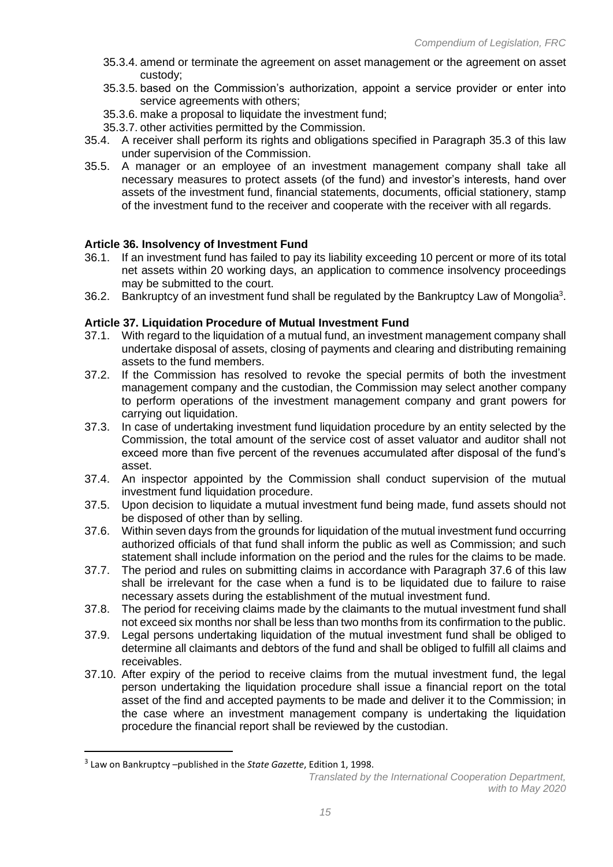- 35.3.4. amend or terminate the agreement on asset management or the agreement on asset custody;
- 35.3.5. based on the Commission's authorization, appoint a service provider or enter into service agreements with others;
- 35.3.6. make a proposal to liquidate the investment fund;
- 35.3.7. other activities permitted by the Commission.
- 35.4. A receiver shall perform its rights and obligations specified in Paragraph 35.3 of this law under supervision of the Commission.
- 35.5. A manager or an employee of an investment management company shall take all necessary measures to protect assets (of the fund) and investor's interests, hand over assets of the investment fund, financial statements, documents, official stationery, stamp of the investment fund to the receiver and cooperate with the receiver with all regards.

## **Article 36. Insolvency of Investment Fund**

- 36.1. If an investment fund has failed to pay its liability exceeding 10 percent or more of its total net assets within 20 working days, an application to commence insolvency proceedings may be submitted to the court.
- 36.2. Bankruptcy of an investment fund shall be regulated by the Bankruptcy Law of Mongolia<sup>3</sup>.

## **Article 37. Liquidation Procedure of Mutual Investment Fund**

- 37.1. With regard to the liquidation of a mutual fund, an investment management company shall undertake disposal of assets, closing of payments and clearing and distributing remaining assets to the fund members.
- 37.2. If the Commission has resolved to revoke the special permits of both the investment management company and the custodian, the Commission may select another company to perform operations of the investment management company and grant powers for carrying out liquidation.
- 37.3. In case of undertaking investment fund liquidation procedure by an entity selected by the Commission, the total amount of the service cost of asset valuator and auditor shall not exceed more than five percent of the revenues accumulated after disposal of the fund's asset.
- 37.4. An inspector appointed by the Commission shall conduct supervision of the mutual investment fund liquidation procedure.
- 37.5. Upon decision to liquidate a mutual investment fund being made, fund assets should not be disposed of other than by selling.
- 37.6. Within seven days from the grounds for liquidation of the mutual investment fund occurring authorized officials of that fund shall inform the public as well as Commission; and such statement shall include information on the period and the rules for the claims to be made.
- 37.7. The period and rules on submitting claims in accordance with Paragraph 37.6 of this law shall be irrelevant for the case when a fund is to be liquidated due to failure to raise necessary assets during the establishment of the mutual investment fund.
- 37.8. The period for receiving claims made by the claimants to the mutual investment fund shall not exceed six months nor shall be less than two months from its confirmation to the public.
- 37.9. Legal persons undertaking liquidation of the mutual investment fund shall be obliged to determine all claimants and debtors of the fund and shall be obliged to fulfill all claims and receivables.
- 37.10. After expiry of the period to receive claims from the mutual investment fund, the legal person undertaking the liquidation procedure shall issue a financial report on the total asset of the find and accepted payments to be made and deliver it to the Commission; in the case where an investment management company is undertaking the liquidation procedure the financial report shall be reviewed by the custodian.

<sup>3</sup> Law on Bankruptcy –published in the *State Gazette*, Edition 1, 1998.

*Translated by the International Cooperation Department, with to May 2020*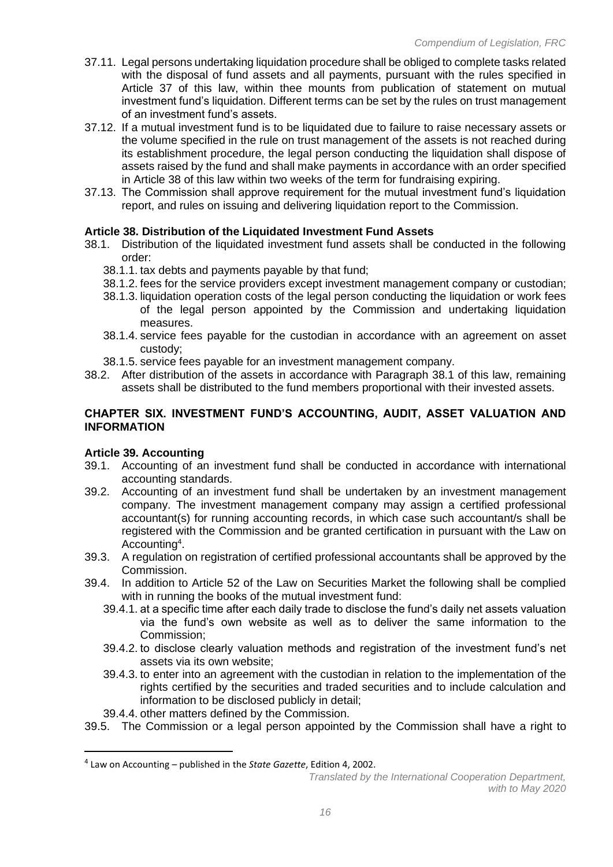- 37.11. Legal persons undertaking liquidation procedure shall be obliged to complete tasks related with the disposal of fund assets and all payments, pursuant with the rules specified in Article 37 of this law, within thee mounts from publication of statement on mutual investment fund's liquidation. Different terms can be set by the rules on trust management of an investment fund's assets.
- 37.12. If a mutual investment fund is to be liquidated due to failure to raise necessary assets or the volume specified in the rule on trust management of the assets is not reached during its establishment procedure, the legal person conducting the liquidation shall dispose of assets raised by the fund and shall make payments in accordance with an order specified in Article 38 of this law within two weeks of the term for fundraising expiring.
- 37.13. The Commission shall approve requirement for the mutual investment fund's liquidation report, and rules on issuing and delivering liquidation report to the Commission.

## **Article 38. Distribution of the Liquidated Investment Fund Assets**

- 38.1. Distribution of the liquidated investment fund assets shall be conducted in the following order:
	- 38.1.1. tax debts and payments payable by that fund;
	- 38.1.2. fees for the service providers except investment management company or custodian;
	- 38.1.3. liquidation operation costs of the legal person conducting the liquidation or work fees of the legal person appointed by the Commission and undertaking liquidation measures.
	- 38.1.4. service fees payable for the custodian in accordance with an agreement on asset custody;
	- 38.1.5. service fees payable for an investment management company.
- 38.2. After distribution of the assets in accordance with Paragraph 38.1 of this law, remaining assets shall be distributed to the fund members proportional with their invested assets.

#### **CHAPTER SIX. INVESTMENT FUND'S ACCOUNTING, AUDIT, ASSET VALUATION AND INFORMATION**

#### **Article 39. Accounting**

- 39.1. Accounting of an investment fund shall be conducted in accordance with international accounting standards.
- 39.2. Accounting of an investment fund shall be undertaken by an investment management company. The investment management company may assign a certified professional accountant(s) for running accounting records, in which case such accountant/s shall be registered with the Commission and be granted certification in pursuant with the Law on Accounting<sup>4</sup> .
- 39.3. A regulation on registration of certified professional accountants shall be approved by the Commission.
- 39.4. In addition to Article 52 of the Law on Securities Market the following shall be complied with in running the books of the mutual investment fund:
	- 39.4.1. at a specific time after each daily trade to disclose the fund's daily net assets valuation via the fund's own website as well as to deliver the same information to the Commission;
	- 39.4.2. to disclose clearly valuation methods and registration of the investment fund's net assets via its own website;
	- 39.4.3. to enter into an agreement with the custodian in relation to the implementation of the rights certified by the securities and traded securities and to include calculation and information to be disclosed publicly in detail;
	- 39.4.4. other matters defined by the Commission.
- 39.5. The Commission or a legal person appointed by the Commission shall have a right to

<sup>4</sup> Law on Accounting – published in the *State Gazette*, Edition 4, 2002.

*Translated by the International Cooperation Department, with to May 2020*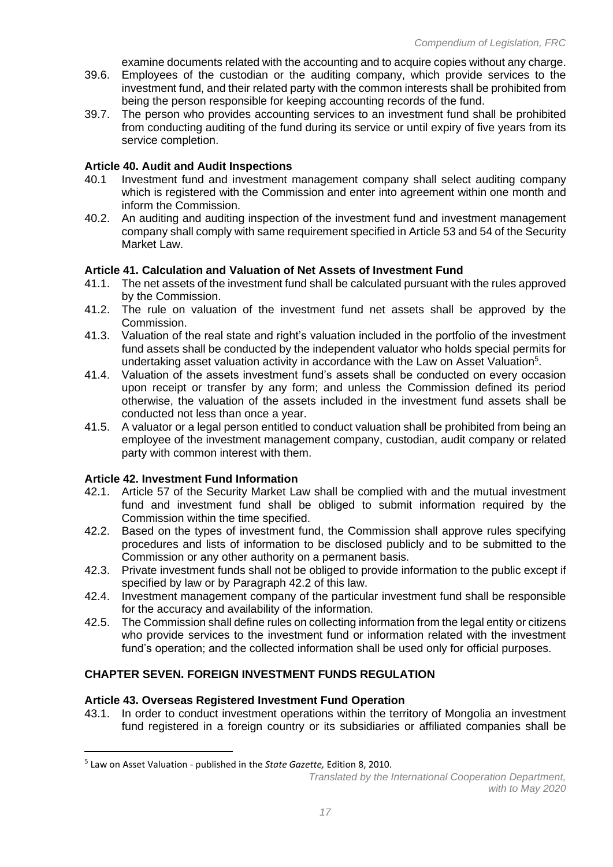examine documents related with the accounting and to acquire copies without any charge.

- 39.6. Employees of the custodian or the auditing company, which provide services to the investment fund, and their related party with the common interests shall be prohibited from being the person responsible for keeping accounting records of the fund.
- 39.7. The person who provides accounting services to an investment fund shall be prohibited from conducting auditing of the fund during its service or until expiry of five years from its service completion.

### **Article 40. Audit and Audit Inspections**

- 40.1 Investment fund and investment management company shall select auditing company which is registered with the Commission and enter into agreement within one month and inform the Commission.
- 40.2. An auditing and auditing inspection of the investment fund and investment management company shall comply with same requirement specified in Article 53 and 54 of the Security Market Law.

## **Article 41. Calculation and Valuation of Net Assets of Investment Fund**

- 41.1. The net assets of the investment fund shall be calculated pursuant with the rules approved by the Commission.
- 41.2. The rule on valuation of the investment fund net assets shall be approved by the Commission.
- 41.3. Valuation of the real state and right's valuation included in the portfolio of the investment fund assets shall be conducted by the independent valuator who holds special permits for undertaking asset valuation activity in accordance with the Law on Asset Valuation<sup>5</sup>.
- 41.4. Valuation of the assets investment fund's assets shall be conducted on every occasion upon receipt or transfer by any form; and unless the Commission defined its period otherwise, the valuation of the assets included in the investment fund assets shall be conducted not less than once a year.
- 41.5. A valuator or a legal person entitled to conduct valuation shall be prohibited from being an employee of the investment management company, custodian, audit company or related party with common interest with them.

#### **Article 42. Investment Fund Information**

- 42.1. Article 57 of the Security Market Law shall be complied with and the mutual investment fund and investment fund shall be obliged to submit information required by the Commission within the time specified.
- 42.2. Based on the types of investment fund, the Commission shall approve rules specifying procedures and lists of information to be disclosed publicly and to be submitted to the Commission or any other authority on a permanent basis.
- 42.3. Private investment funds shall not be obliged to provide information to the public except if specified by law or by Paragraph 42.2 of this law.
- 42.4. Investment management company of the particular investment fund shall be responsible for the accuracy and availability of the information.
- 42.5. The Commission shall define rules on collecting information from the legal entity or citizens who provide services to the investment fund or information related with the investment fund's operation; and the collected information shall be used only for official purposes.

## **CHAPTER SEVEN. FOREIGN INVESTMENT FUNDS REGULATION**

## **Article 43. Overseas Registered Investment Fund Operation**

43.1. In order to conduct investment operations within the territory of Mongolia an investment fund registered in a foreign country or its subsidiaries or affiliated companies shall be

<sup>5</sup> Law on Asset Valuation - published in the *State Gazette,* Edition 8, 2010.

*Translated by the International Cooperation Department, with to May 2020*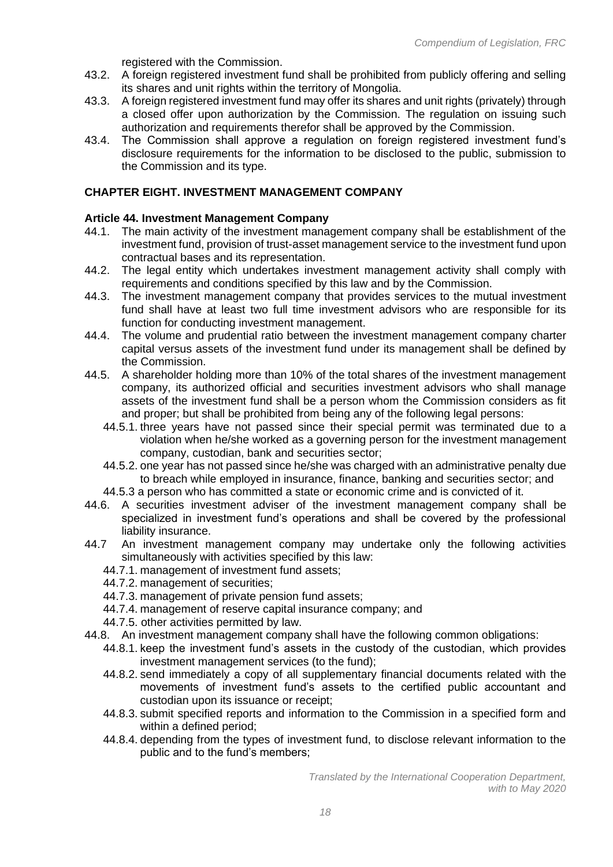registered with the Commission.

- 43.2. A foreign registered investment fund shall be prohibited from publicly offering and selling its shares and unit rights within the territory of Mongolia.
- 43.3. A foreign registered investment fund may offer its shares and unit rights (privately) through a closed offer upon authorization by the Commission. The regulation on issuing such authorization and requirements therefor shall be approved by the Commission.
- 43.4. The Commission shall approve a regulation on foreign registered investment fund's disclosure requirements for the information to be disclosed to the public, submission to the Commission and its type.

## **CHAPTER EIGHT. INVESTMENT MANAGEMENT COMPANY**

#### **Article 44. Investment Management Company**

- 44.1. The main activity of the investment management company shall be establishment of the investment fund, provision of trust-asset management service to the investment fund upon contractual bases and its representation.
- 44.2. The legal entity which undertakes investment management activity shall comply with requirements and conditions specified by this law and by the Commission.
- 44.3. The investment management company that provides services to the mutual investment fund shall have at least two full time investment advisors who are responsible for its function for conducting investment management.
- 44.4. The volume and prudential ratio between the investment management company charter capital versus assets of the investment fund under its management shall be defined by the Commission.
- 44.5. A shareholder holding more than 10% of the total shares of the investment management company, its authorized official and securities investment advisors who shall manage assets of the investment fund shall be a person whom the Commission considers as fit and proper; but shall be prohibited from being any of the following legal persons:
	- 44.5.1. three years have not passed since their special permit was terminated due to a violation when he/she worked as a governing person for the investment management company, custodian, bank and securities sector;
	- 44.5.2. one year has not passed since he/she was charged with an administrative penalty due to breach while employed in insurance, finance, banking and securities sector; and
	- 44.5.3 a person who has committed a state or economic crime and is convicted of it.
- 44.6. A securities investment adviser of the investment management company shall be specialized in investment fund's operations and shall be covered by the professional liability insurance.
- 44.7 An investment management company may undertake only the following activities simultaneously with activities specified by this law:
	- 44.7.1. management of investment fund assets;
	- 44.7.2. management of securities;
	- 44.7.3. management of private pension fund assets;
	- 44.7.4. management of reserve capital insurance company; and
	- 44.7.5. other activities permitted by law.
- 44.8. An investment management company shall have the following common obligations:
	- 44.8.1. keep the investment fund's assets in the custody of the custodian, which provides investment management services (to the fund);
	- 44.8.2. send immediately a copy of all supplementary financial documents related with the movements of investment fund's assets to the certified public accountant and custodian upon its issuance or receipt;
	- 44.8.3. submit specified reports and information to the Commission in a specified form and within a defined period;
	- 44.8.4. depending from the types of investment fund, to disclose relevant information to the public and to the fund's members;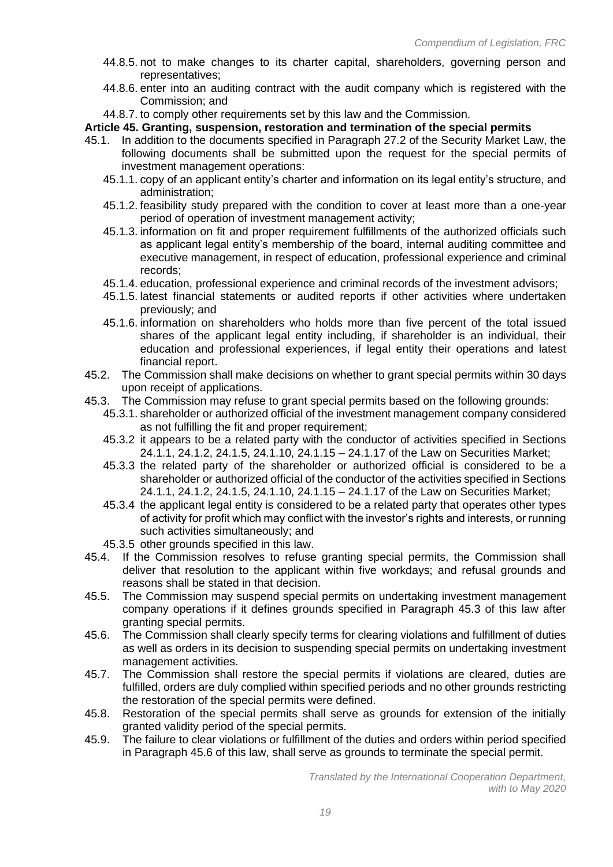- 44.8.5. not to make changes to its charter capital, shareholders, governing person and representatives;
- 44.8.6. enter into an auditing contract with the audit company which is registered with the Commission; and
- 44.8.7. to comply other requirements set by this law and the Commission.

**Article 45. Granting, suspension, restoration and termination of the special permits**

- 45.1. In addition to the documents specified in Paragraph 27.2 of the Security Market Law, the following documents shall be submitted upon the request for the special permits of investment management operations:
	- 45.1.1. copy of an applicant entity's charter and information on its legal entity's structure, and administration;
	- 45.1.2. feasibility study prepared with the condition to cover at least more than a one-year period of operation of investment management activity;
	- 45.1.3. information on fit and proper requirement fulfillments of the authorized officials such as applicant legal entity's membership of the board, internal auditing committee and executive management, in respect of education, professional experience and criminal records;
	- 45.1.4. education, professional experience and criminal records of the investment advisors;
	- 45.1.5. latest financial statements or audited reports if other activities where undertaken previously; and
	- 45.1.6. information on shareholders who holds more than five percent of the total issued shares of the applicant legal entity including, if shareholder is an individual, their education and professional experiences, if legal entity their operations and latest financial report.
- 45.2. The Commission shall make decisions on whether to grant special permits within 30 days upon receipt of applications.
- 45.3. The Commission may refuse to grant special permits based on the following grounds:
	- 45.3.1. shareholder or authorized official of the investment management company considered as not fulfilling the fit and proper requirement;
	- 45.3.2 it appears to be a related party with the conductor of activities specified in Sections 24.1.1, 24.1.2, 24.1.5, 24.1.10, 24.1.15 – 24.1.17 of the Law on Securities Market;
	- 45.3.3 the related party of the shareholder or authorized official is considered to be a shareholder or authorized official of the conductor of the activities specified in Sections 24.1.1, 24.1.2, 24.1.5, 24.1.10, 24.1.15 – 24.1.17 of the Law on Securities Market;
	- 45.3.4 the applicant legal entity is considered to be a related party that operates other types of activity for profit which may conflict with the investor's rights and interests, or running such activities simultaneously; and
	- 45.3.5 other grounds specified in this law.
- 45.4. If the Commission resolves to refuse granting special permits, the Commission shall deliver that resolution to the applicant within five workdays; and refusal grounds and reasons shall be stated in that decision.
- 45.5. The Commission may suspend special permits on undertaking investment management company operations if it defines grounds specified in Paragraph 45.3 of this law after granting special permits.
- 45.6. The Commission shall clearly specify terms for clearing violations and fulfillment of duties as well as orders in its decision to suspending special permits on undertaking investment management activities.
- 45.7. The Commission shall restore the special permits if violations are cleared, duties are fulfilled, orders are duly complied within specified periods and no other grounds restricting the restoration of the special permits were defined.
- 45.8. Restoration of the special permits shall serve as grounds for extension of the initially granted validity period of the special permits.
- 45.9. The failure to clear violations or fulfillment of the duties and orders within period specified in Paragraph 45.6 of this law, shall serve as grounds to terminate the special permit.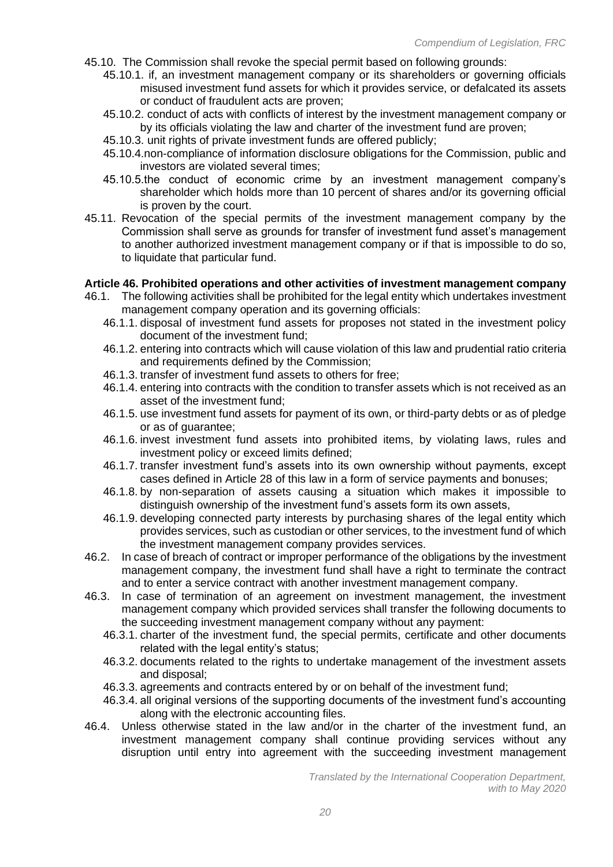- 45.10. The Commission shall revoke the special permit based on following grounds:
	- 45.10.1. if, an investment management company or its shareholders or governing officials misused investment fund assets for which it provides service, or defalcated its assets or conduct of fraudulent acts are proven;
	- 45.10.2. conduct of acts with conflicts of interest by the investment management company or by its officials violating the law and charter of the investment fund are proven;
	- 45.10.3. unit rights of private investment funds are offered publicly;
	- 45.10.4.non-compliance of information disclosure obligations for the Commission, public and investors are violated several times;
	- 45.10.5.the conduct of economic crime by an investment management company's shareholder which holds more than 10 percent of shares and/or its governing official is proven by the court.
- 45.11. Revocation of the special permits of the investment management company by the Commission shall serve as grounds for transfer of investment fund asset's management to another authorized investment management company or if that is impossible to do so, to liquidate that particular fund.

#### **Article 46. Prohibited operations and other activities of investment management company**

- 46.1. The following activities shall be prohibited for the legal entity which undertakes investment management company operation and its governing officials:
	- 46.1.1. disposal of investment fund assets for proposes not stated in the investment policy document of the investment fund;
	- 46.1.2. entering into contracts which will cause violation of this law and prudential ratio criteria and requirements defined by the Commission;
	- 46.1.3. transfer of investment fund assets to others for free;
	- 46.1.4. entering into contracts with the condition to transfer assets which is not received as an asset of the investment fund;
	- 46.1.5. use investment fund assets for payment of its own, or third-party debts or as of pledge or as of guarantee;
	- 46.1.6. invest investment fund assets into prohibited items, by violating laws, rules and investment policy or exceed limits defined;
	- 46.1.7. transfer investment fund's assets into its own ownership without payments, except cases defined in Article 28 of this law in a form of service payments and bonuses;
	- 46.1.8. by non-separation of assets causing a situation which makes it impossible to distinguish ownership of the investment fund's assets form its own assets,
	- 46.1.9. developing connected party interests by purchasing shares of the legal entity which provides services, such as custodian or other services, to the investment fund of which the investment management company provides services.
- 46.2. In case of breach of contract or improper performance of the obligations by the investment management company, the investment fund shall have a right to terminate the contract and to enter a service contract with another investment management company.
- 46.3. In case of termination of an agreement on investment management, the investment management company which provided services shall transfer the following documents to the succeeding investment management company without any payment:
	- 46.3.1. charter of the investment fund, the special permits, certificate and other documents related with the legal entity's status;
	- 46.3.2. documents related to the rights to undertake management of the investment assets and disposal;
	- 46.3.3. agreements and contracts entered by or on behalf of the investment fund;
	- 46.3.4. all original versions of the supporting documents of the investment fund's accounting along with the electronic accounting files.
- 46.4. Unless otherwise stated in the law and/or in the charter of the investment fund, an investment management company shall continue providing services without any disruption until entry into agreement with the succeeding investment management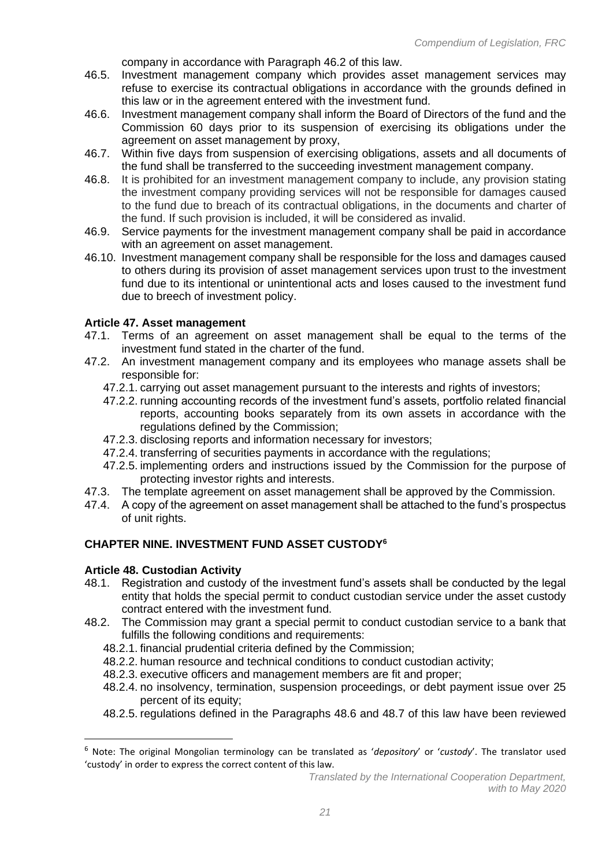company in accordance with Paragraph 46.2 of this law.

- 46.5. Investment management company which provides asset management services may refuse to exercise its contractual obligations in accordance with the grounds defined in this law or in the agreement entered with the investment fund.
- 46.6. Investment management company shall inform the Board of Directors of the fund and the Commission 60 days prior to its suspension of exercising its obligations under the agreement on asset management by proxy,
- 46.7. Within five days from suspension of exercising obligations, assets and all documents of the fund shall be transferred to the succeeding investment management company.
- 46.8. It is prohibited for an investment management company to include, any provision stating the investment company providing services will not be responsible for damages caused to the fund due to breach of its contractual obligations, in the documents and charter of the fund. If such provision is included, it will be considered as invalid.
- 46.9. Service payments for the investment management company shall be paid in accordance with an agreement on asset management.
- 46.10. Investment management company shall be responsible for the loss and damages caused to others during its provision of asset management services upon trust to the investment fund due to its intentional or unintentional acts and loses caused to the investment fund due to breech of investment policy.

## **Article 47. Asset management**

- 47.1. Terms of an agreement on asset management shall be equal to the terms of the investment fund stated in the charter of the fund.
- 47.2. An investment management company and its employees who manage assets shall be responsible for:
	- 47.2.1. carrying out asset management pursuant to the interests and rights of investors;
	- 47.2.2. running accounting records of the investment fund's assets, portfolio related financial reports, accounting books separately from its own assets in accordance with the regulations defined by the Commission;
	- 47.2.3. disclosing reports and information necessary for investors;
	- 47.2.4. transferring of securities payments in accordance with the regulations;
	- 47.2.5. implementing orders and instructions issued by the Commission for the purpose of protecting investor rights and interests.
- 47.3. The template agreement on asset management shall be approved by the Commission.
- 47.4. A copy of the agreement on asset management shall be attached to the fund's prospectus of unit rights.

# **CHAPTER NINE. INVESTMENT FUND ASSET CUSTODY<sup>6</sup>**

## **Article 48. Custodian Activity**

- 48.1. Registration and custody of the investment fund's assets shall be conducted by the legal entity that holds the special permit to conduct custodian service under the asset custody contract entered with the investment fund.
- 48.2. The Commission may grant a special permit to conduct custodian service to a bank that fulfills the following conditions and requirements:
	- 48.2.1. financial prudential criteria defined by the Commission;
	- 48.2.2. human resource and technical conditions to conduct custodian activity;
	- 48.2.3. executive officers and management members are fit and proper;
	- 48.2.4. no insolvency, termination, suspension proceedings, or debt payment issue over 25 percent of its equity;
	- 48.2.5. regulations defined in the Paragraphs 48.6 and 48.7 of this law have been reviewed

<sup>6</sup> Note: The original Mongolian terminology can be translated as '*depository*' or '*custody*'. The translator used 'custody' in order to express the correct content of this law.

*Translated by the International Cooperation Department, with to May 2020*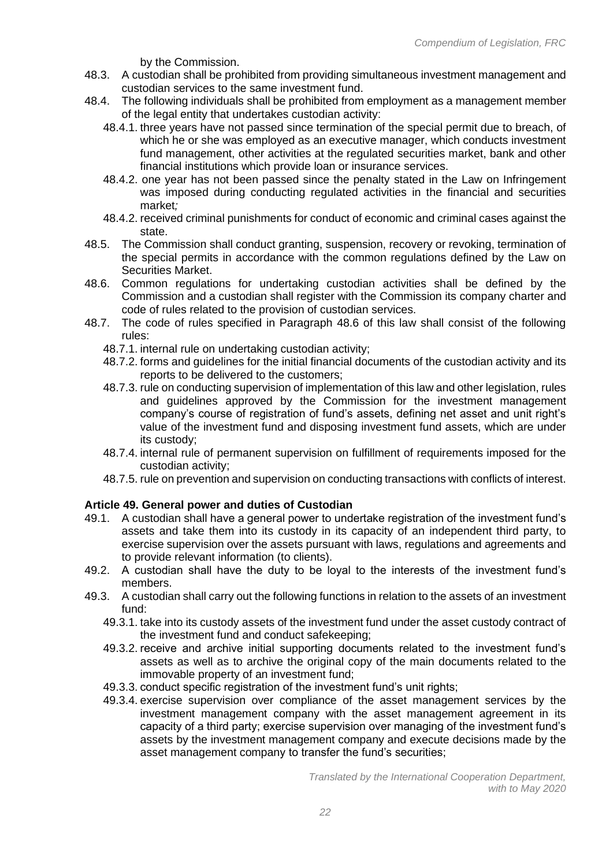by the Commission.

- 48.3. A custodian shall be prohibited from providing simultaneous investment management and custodian services to the same investment fund.
- 48.4. The following individuals shall be prohibited from employment as a management member of the legal entity that undertakes custodian activity:
	- 48.4.1. three years have not passed since termination of the special permit due to breach, of which he or she was employed as an executive manager, which conducts investment fund management, other activities at the regulated securities market, bank and other financial institutions which provide loan or insurance services.
	- 48.4.2. one year has not been passed since the penalty stated in the Law on Infringement was imposed during conducting regulated activities in the financial and securities market*;*
	- 48.4.2. received criminal punishments for conduct of economic and criminal cases against the state.
- 48.5. The Commission shall conduct granting, suspension, recovery or revoking, termination of the special permits in accordance with the common regulations defined by the Law on Securities Market.
- 48.6. Common regulations for undertaking custodian activities shall be defined by the Commission and a custodian shall register with the Commission its company charter and code of rules related to the provision of custodian services.
- 48.7. The code of rules specified in Paragraph 48.6 of this law shall consist of the following rules:
	- 48.7.1. internal rule on undertaking custodian activity;
	- 48.7.2. forms and guidelines for the initial financial documents of the custodian activity and its reports to be delivered to the customers;
	- 48.7.3. rule on conducting supervision of implementation of this law and other legislation, rules and guidelines approved by the Commission for the investment management company's course of registration of fund's assets, defining net asset and unit right's value of the investment fund and disposing investment fund assets, which are under its custody;
	- 48.7.4. internal rule of permanent supervision on fulfillment of requirements imposed for the custodian activity;
	- 48.7.5. rule on prevention and supervision on conducting transactions with conflicts of interest.

## **Article 49. General power and duties of Custodian**

- 49.1. A custodian shall have a general power to undertake registration of the investment fund's assets and take them into its custody in its capacity of an independent third party, to exercise supervision over the assets pursuant with laws, regulations and agreements and to provide relevant information (to clients).
- 49.2. A custodian shall have the duty to be loyal to the interests of the investment fund's members.
- 49.3. A custodian shall carry out the following functions in relation to the assets of an investment fund:
	- 49.3.1. take into its custody assets of the investment fund under the asset custody contract of the investment fund and conduct safekeeping;
	- 49.3.2. receive and archive initial supporting documents related to the investment fund's assets as well as to archive the original copy of the main documents related to the immovable property of an investment fund;
	- 49.3.3. conduct specific registration of the investment fund's unit rights;
	- 49.3.4. exercise supervision over compliance of the asset management services by the investment management company with the asset management agreement in its capacity of a third party; exercise supervision over managing of the investment fund's assets by the investment management company and execute decisions made by the asset management company to transfer the fund's securities;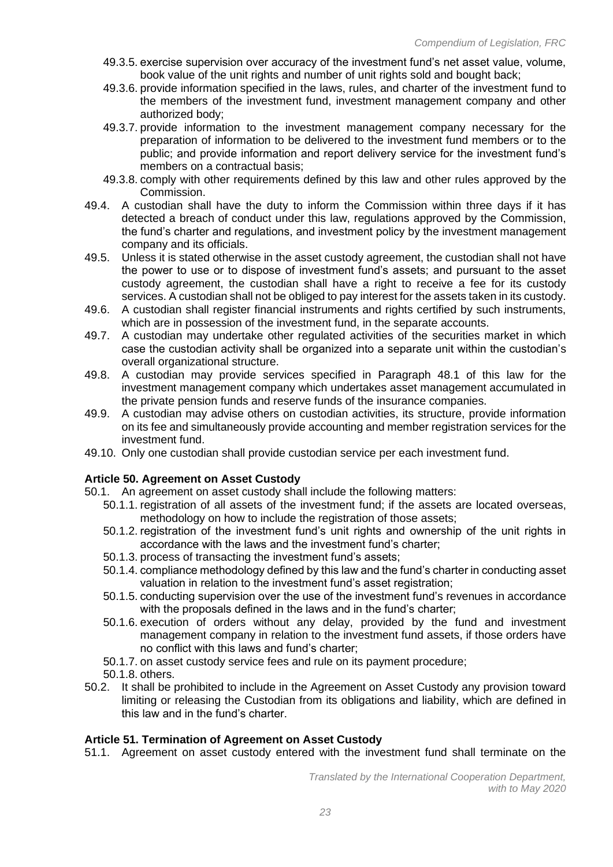- 49.3.5. exercise supervision over accuracy of the investment fund's net asset value, volume, book value of the unit rights and number of unit rights sold and bought back;
- 49.3.6. provide information specified in the laws, rules, and charter of the investment fund to the members of the investment fund, investment management company and other authorized body;
- 49.3.7. provide information to the investment management company necessary for the preparation of information to be delivered to the investment fund members or to the public; and provide information and report delivery service for the investment fund's members on a contractual basis;
- 49.3.8. comply with other requirements defined by this law and other rules approved by the Commission.
- 49.4. A custodian shall have the duty to inform the Commission within three days if it has detected a breach of conduct under this law, regulations approved by the Commission, the fund's charter and regulations, and investment policy by the investment management company and its officials.
- 49.5. Unless it is stated otherwise in the asset custody agreement, the custodian shall not have the power to use or to dispose of investment fund's assets; and pursuant to the asset custody agreement, the custodian shall have a right to receive a fee for its custody services. A custodian shall not be obliged to pay interest for the assets taken in its custody.
- 49.6. A custodian shall register financial instruments and rights certified by such instruments, which are in possession of the investment fund, in the separate accounts.
- 49.7. A custodian may undertake other regulated activities of the securities market in which case the custodian activity shall be organized into a separate unit within the custodian's overall organizational structure.
- 49.8. A custodian may provide services specified in Paragraph 48.1 of this law for the investment management company which undertakes asset management accumulated in the private pension funds and reserve funds of the insurance companies.
- 49.9. A custodian may advise others on custodian activities, its structure, provide information on its fee and simultaneously provide accounting and member registration services for the investment fund.
- 49.10. Only one custodian shall provide custodian service per each investment fund.

## **Article 50. Agreement on Asset Custody**

- 50.1. An agreement on asset custody shall include the following matters:
	- 50.1.1. registration of all assets of the investment fund; if the assets are located overseas, methodology on how to include the registration of those assets;
	- 50.1.2. registration of the investment fund's unit rights and ownership of the unit rights in accordance with the laws and the investment fund's charter;
	- 50.1.3. process of transacting the investment fund's assets;
	- 50.1.4. compliance methodology defined by this law and the fund's charter in conducting asset valuation in relation to the investment fund's asset registration;
	- 50.1.5. conducting supervision over the use of the investment fund's revenues in accordance with the proposals defined in the laws and in the fund's charter;
	- 50.1.6. execution of orders without any delay, provided by the fund and investment management company in relation to the investment fund assets, if those orders have no conflict with this laws and fund's charter;
	- 50.1.7. on asset custody service fees and rule on its payment procedure;
	- 50.1.8. others.
- 50.2. It shall be prohibited to include in the Agreement on Asset Custody any provision toward limiting or releasing the Custodian from its obligations and liability, which are defined in this law and in the fund's charter.

## **Article 51. Termination of Agreement on Asset Custody**

51.1. Agreement on asset custody entered with the investment fund shall terminate on the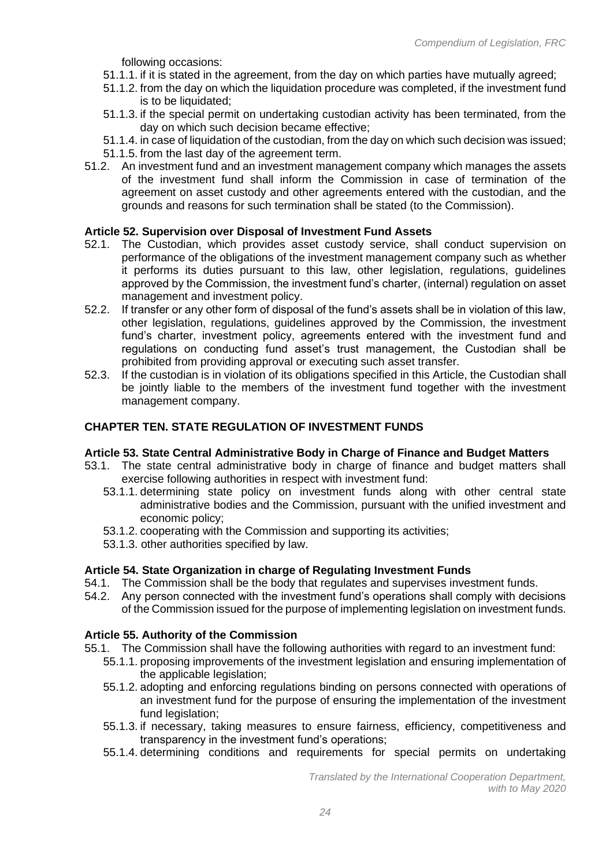following occasions:

- 51.1.1. if it is stated in the agreement, from the day on which parties have mutually agreed;
- 51.1.2. from the day on which the liquidation procedure was completed, if the investment fund is to be liquidated:
- 51.1.3. if the special permit on undertaking custodian activity has been terminated, from the day on which such decision became effective;
- 51.1.4. in case of liquidation of the custodian, from the day on which such decision was issued;
- 51.1.5. from the last day of the agreement term.
- 51.2. An investment fund and an investment management company which manages the assets of the investment fund shall inform the Commission in case of termination of the agreement on asset custody and other agreements entered with the custodian, and the grounds and reasons for such termination shall be stated (to the Commission).

## **Article 52. Supervision over Disposal of Investment Fund Assets**

- 52.1. The Custodian, which provides asset custody service, shall conduct supervision on performance of the obligations of the investment management company such as whether it performs its duties pursuant to this law, other legislation, regulations, guidelines approved by the Commission, the investment fund's charter, (internal) regulation on asset management and investment policy.
- 52.2. If transfer or any other form of disposal of the fund's assets shall be in violation of this law, other legislation, regulations, guidelines approved by the Commission, the investment fund's charter, investment policy, agreements entered with the investment fund and regulations on conducting fund asset's trust management, the Custodian shall be prohibited from providing approval or executing such asset transfer.
- 52.3. If the custodian is in violation of its obligations specified in this Article, the Custodian shall be jointly liable to the members of the investment fund together with the investment management company.

#### **CHAPTER TEN. STATE REGULATION OF INVESTMENT FUNDS**

#### **Article 53. State Central Administrative Body in Charge of Finance and Budget Matters**

- 53.1. The state central administrative body in charge of finance and budget matters shall exercise following authorities in respect with investment fund:
	- 53.1.1. determining state policy on investment funds along with other central state administrative bodies and the Commission, pursuant with the unified investment and economic policy;
	- 53.1.2. cooperating with the Commission and supporting its activities;
	- 53.1.3. other authorities specified by law.

## **Article 54. State Organization in charge of Regulating Investment Funds**

- 54.1. The Commission shall be the body that regulates and supervises investment funds.
- 54.2. Any person connected with the investment fund's operations shall comply with decisions of the Commission issued for the purpose of implementing legislation on investment funds.

#### **Article 55. Authority of the Commission**

- 55.1. The Commission shall have the following authorities with regard to an investment fund:
	- 55.1.1. proposing improvements of the investment legislation and ensuring implementation of the applicable legislation;
	- 55.1.2. adopting and enforcing regulations binding on persons connected with operations of an investment fund for the purpose of ensuring the implementation of the investment fund legislation;
	- 55.1.3. if necessary, taking measures to ensure fairness, efficiency, competitiveness and transparency in the investment fund's operations;
	- 55.1.4. determining conditions and requirements for special permits on undertaking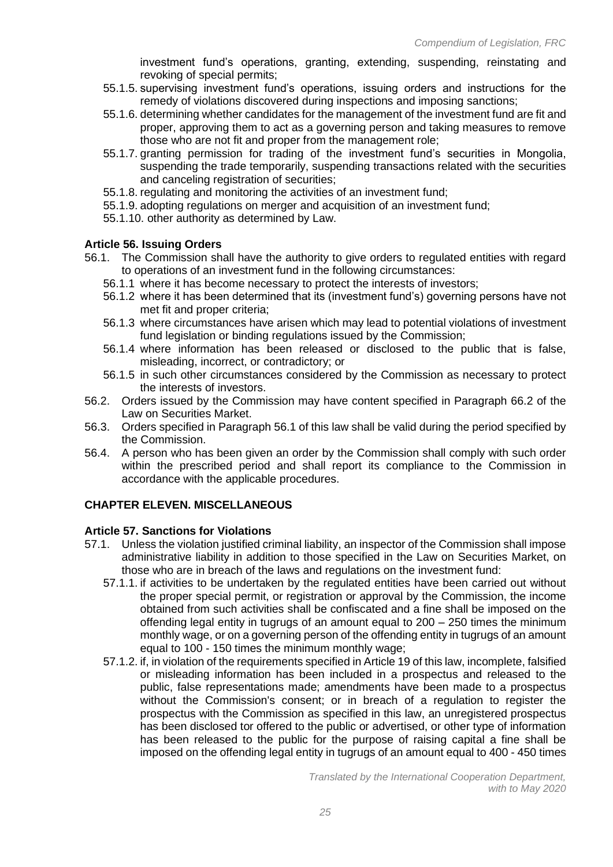investment fund's operations, granting, extending, suspending, reinstating and revoking of special permits;

- 55.1.5. supervising investment fund's operations, issuing orders and instructions for the remedy of violations discovered during inspections and imposing sanctions;
- 55.1.6. determining whether candidates for the management of the investment fund are fit and proper, approving them to act as a governing person and taking measures to remove those who are not fit and proper from the management role;
- 55.1.7. granting permission for trading of the investment fund's securities in Mongolia, suspending the trade temporarily, suspending transactions related with the securities and canceling registration of securities;
- 55.1.8. regulating and monitoring the activities of an investment fund;
- 55.1.9. adopting regulations on merger and acquisition of an investment fund;
- 55.1.10. other authority as determined by Law.

#### **Article 56. Issuing Orders**

- 56.1. The Commission shall have the authority to give orders to regulated entities with regard to operations of an investment fund in the following circumstances:
	- 56.1.1 where it has become necessary to protect the interests of investors;
	- 56.1.2 where it has been determined that its (investment fund's) governing persons have not met fit and proper criteria;
	- 56.1.3 where circumstances have arisen which may lead to potential violations of investment fund legislation or binding regulations issued by the Commission;
	- 56.1.4 where information has been released or disclosed to the public that is false, misleading, incorrect, or contradictory; or
	- 56.1.5 in such other circumstances considered by the Commission as necessary to protect the interests of investors.
- 56.2. Orders issued by the Commission may have content specified in Paragraph 66.2 of the Law on Securities Market.
- 56.3. Orders specified in Paragraph 56.1 of this law shall be valid during the period specified by the Commission.
- 56.4. A person who has been given an order by the Commission shall comply with such order within the prescribed period and shall report its compliance to the Commission in accordance with the applicable procedures.

#### **CHAPTER ELEVEN. MISCELLANEOUS**

#### **Article 57. Sanctions for Violations**

- 57.1. Unless the violation justified criminal liability, an inspector of the Commission shall impose administrative liability in addition to those specified in the Law on Securities Market, on those who are in breach of the laws and regulations on the investment fund:
	- 57.1.1. if activities to be undertaken by the regulated entities have been carried out without the proper special permit, or registration or approval by the Commission, the income obtained from such activities shall be confiscated and a fine shall be imposed on the offending legal entity in tugrugs of an amount equal to 200 – 250 times the minimum monthly wage, or on a governing person of the offending entity in tugrugs of an amount equal to 100 - 150 times the minimum monthly wage;
	- 57.1.2. if, in violation of the requirements specified in Article 19 of this law, incomplete, falsified or misleading information has been included in a prospectus and released to the public, false representations made; amendments have been made to a prospectus without the Commission's consent; or in breach of a regulation to register the prospectus with the Commission as specified in this law, an unregistered prospectus has been disclosed tor offered to the public or advertised, or other type of information has been released to the public for the purpose of raising capital a fine shall be imposed on the offending legal entity in tugrugs of an amount equal to 400 - 450 times